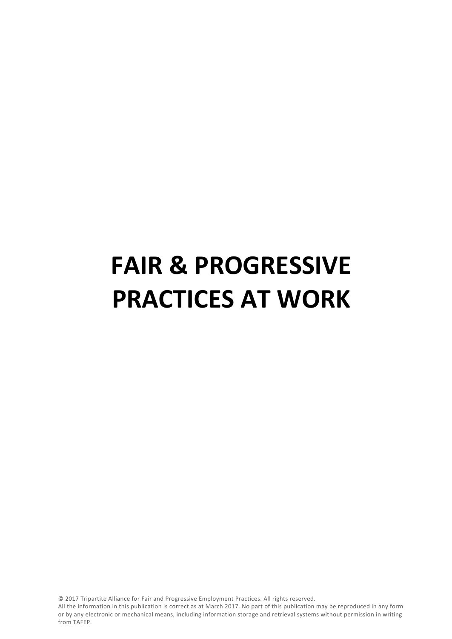# **FAIR & PROGRESSIVE PRACTICES AT WORK**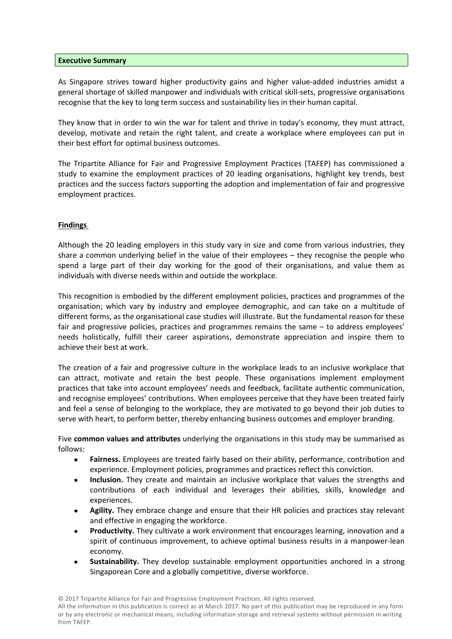#### **Executive Summary**

As Singapore strives toward higher productivity gains and higher value-added industries amidst a general shortage of skilled manpower and individuals with critical skill-sets, progressive organisations recognise that the key to long term success and sustainability lies in their human capital.

They know that in order to win the war for talent and thrive in today's economy, they must attract, develop, motivate and retain the right talent, and create a workplace where employees can put in their best effort for optimal business outcomes.

The Tripartite Alliance for Fair and Progressive Employment Practices (TAFEP) has commissioned a study to examine the employment practices of 20 leading organisations, highlight key trends, best practices and the success factors supporting the adoption and implementation of fair and progressive employment practices.

# **Findings**

Although the 20 leading employers in this study vary in size and come from various industries, they share a common underlying belief in the value of their employees – they recognise the people who spend a large part of their day working for the good of their organisations, and value them as individuals with diverse needs within and outside the workplace.

This recognition is embodied by the different employment policies, practices and programmes of the organisation; which vary by industry and employee demographic, and can take on a multitude of different forms, as the organisational case studies will illustrate. But the fundamental reason for these fair and progressive policies, practices and programmes remains the same – to address employees' needs holistically, fulfill their career aspirations, demonstrate appreciation and inspire them to achieve their best at work.

The creation of a fair and progressive culture in the workplace leads to an inclusive workplace that can attract, motivate and retain the best people. These organisations implement employment practices that take into account employees' needs and feedback, facilitate authentic communication, and recognise employees' contributions. When employees perceive that they have been treated fairly and feel a sense of belonging to the workplace, they are motivated to go beyond their job duties to serve with heart, to perform better, thereby enhancing business outcomes and employer branding.

Five **common values and attributes** underlying the organisations in this study may be summarised as follows:

- **Fairness.** Employees are treated fairly based on their ability, performance, contribution and experience. Employment policies, programmes and practices reflect this conviction.
- **Inclusion.** They create and maintain an inclusive workplace that values the strengths and contributions of each individual and leverages their abilities, skills, knowledge and experiences.
- **Agility.** They embrace change and ensure that their HR policies and practices stay relevant and effective in engaging the workforce.
- **Productivity.** They cultivate a work environment that encourages learning, innovation and a spirit of continuous improvement, to achieve optimal business results in a manpower-lean economy.
- **Sustainability.** They develop sustainable employment opportunities anchored in a strong Singaporean Core and a globally competitive, diverse workforce.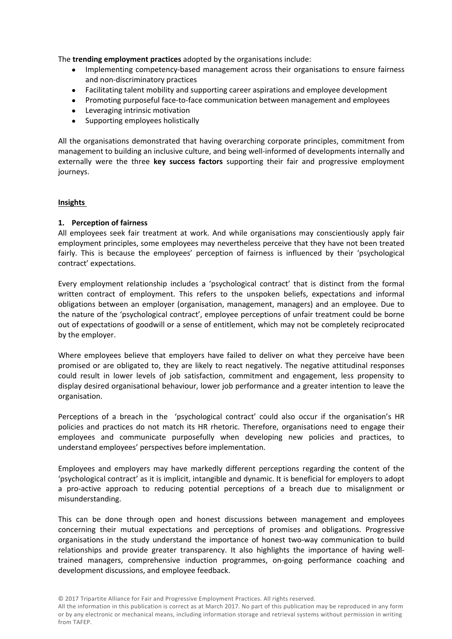The **trending employment practices** adopted by the organisations include:

- Implementing competency-based management across their organisations to ensure fairness and non-discriminatory practices
- Facilitating talent mobility and supporting career aspirations and employee development
- Promoting purposeful face-to-face communication between management and employees
- Leveraging intrinsic motivation
- Supporting employees holistically

All the organisations demonstrated that having overarching corporate principles, commitment from management to building an inclusive culture, and being well-informed of developments internally and externally were the three **key success factors** supporting their fair and progressive employment journeys.

# **Insights**

# **1. Perception of fairness**

All employees seek fair treatment at work. And while organisations may conscientiously apply fair employment principles, some employees may nevertheless perceive that they have not been treated fairly. This is because the employees' perception of fairness is influenced by their 'psychological contract' expectations.

Every employment relationship includes a 'psychological contract' that is distinct from the formal written contract of employment. This refers to the unspoken beliefs, expectations and informal obligations between an employer (organisation, management, managers) and an employee. Due to the nature of the 'psychological contract', employee perceptions of unfair treatment could be borne out of expectations of goodwill or a sense of entitlement, which may not be completely reciprocated by the employer.

Where employees believe that employers have failed to deliver on what they perceive have been promised or are obligated to, they are likely to react negatively. The negative attitudinal responses could result in lower levels of job satisfaction, commitment and engagement, less propensity to display desired organisational behaviour, lower job performance and a greater intention to leave the organisation.

Perceptions of a breach in the 'psychological contract' could also occur if the organisation's HR policies and practices do not match its HR rhetoric. Therefore, organisations need to engage their employees and communicate purposefully when developing new policies and practices, to understand employees' perspectives before implementation.

Employees and employers may have markedly different perceptions regarding the content of the 'psychological contract' as it is implicit, intangible and dynamic. It is beneficial for employers to adopt a pro-active approach to reducing potential perceptions of a breach due to misalignment or misunderstanding.

This can be done through open and honest discussions between management and employees concerning their mutual expectations and perceptions of promises and obligations. Progressive organisations in the study understand the importance of honest two-way communication to build relationships and provide greater transparency. It also highlights the importance of having welltrained managers, comprehensive induction programmes, on-going performance coaching and development discussions, and employee feedback.

<sup>©</sup> 2017 Tripartite Alliance for Fair and Progressive Employment Practices. All rights reserved.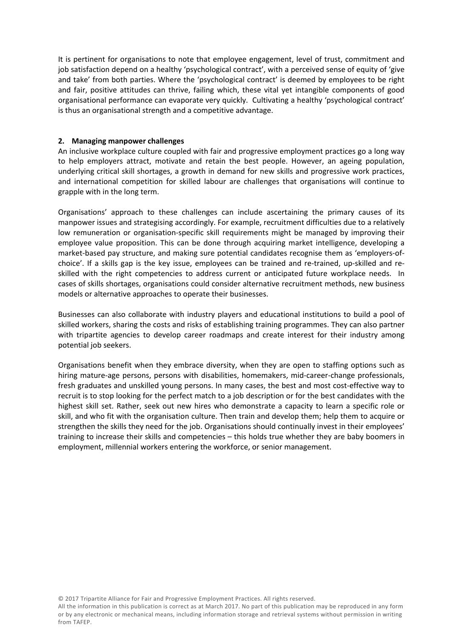It is pertinent for organisations to note that employee engagement, level of trust, commitment and job satisfaction depend on a healthy 'psychological contract', with a perceived sense of equity of 'give and take' from both parties. Where the 'psychological contract' is deemed by employees to be right and fair, positive attitudes can thrive, failing which, these vital yet intangible components of good organisational performance can evaporate very quickly. Cultivating a healthy 'psychological contract' is thus an organisational strength and a competitive advantage.

# **2. Managing manpower challenges**

An inclusive workplace culture coupled with fair and progressive employment practices go a long way to help employers attract, motivate and retain the best people. However, an ageing population, underlying critical skill shortages, a growth in demand for new skills and progressive work practices, and international competition for skilled labour are challenges that organisations will continue to grapple with in the long term.

Organisations' approach to these challenges can include ascertaining the primary causes of its manpower issues and strategising accordingly. For example, recruitment difficulties due to a relatively low remuneration or organisation-specific skill requirements might be managed by improving their employee value proposition. This can be done through acquiring market intelligence, developing a market-based pay structure, and making sure potential candidates recognise them as 'employers-ofchoice'. If a skills gap is the key issue, employees can be trained and re-trained, up-skilled and reskilled with the right competencies to address current or anticipated future workplace needs. In cases of skills shortages, organisations could consider alternative recruitment methods, new business models or alternative approaches to operate their businesses.

Businesses can also collaborate with industry players and educational institutions to build a pool of skilled workers, sharing the costs and risks of establishing training programmes. They can also partner with tripartite agencies to develop career roadmaps and create interest for their industry among potential job seekers.

Organisations benefit when they embrace diversity, when they are open to staffing options such as hiring mature-age persons, persons with disabilities, homemakers, mid-career-change professionals, fresh graduates and unskilled young persons. In many cases, the best and most cost-effective way to recruit is to stop looking for the perfect match to a job description or for the best candidates with the highest skill set. Rather, seek out new hires who demonstrate a capacity to learn a specific role or skill, and who fit with the organisation culture. Then train and develop them; help them to acquire or strengthen the skills they need for the job. Organisations should continually invest in their employees' training to increase their skills and competencies – this holds true whether they are baby boomers in employment, millennial workers entering the workforce, or senior management.

© 2017 Tripartite Alliance for Fair and Progressive Employment Practices. All rights reserved.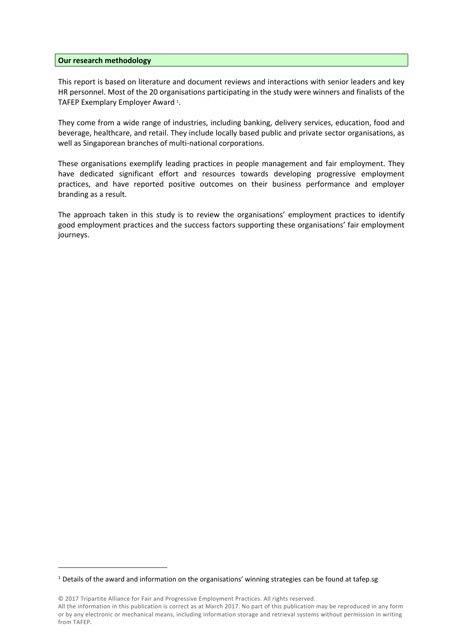#### **Our research methodology**

This report is based on literature and document reviews and interactions with senior leaders and key HR personnel. Most of the 20 organisations participating in the study were winners and finalists of the TAFEP Exemplary Employer Award 1.

. They come from a wide range of industries, including banking, delivery services, education, food and beverage, healthcare, and retail. They include locally based public and private sector organisations, as well as Singaporean branches of multi-national corporations.

These organisations exemplify leading practices in people management and fair employment. They have dedicated significant effort and resources towards developing progressive employment practices, and have reported positive outcomes on their business performance and employer branding as a result.

The approach taken in this study is to review the organisations' employment practices to identify good employment practices and the success factors supporting these organisations' fair employment journeys.

<sup>1</sup> Details of the award and information on the organisations' winning strategies can be found at tafep.sg

<sup>©</sup> 2017 Tripartite Alliance for Fair and Progressive Employment Practices. All rights reserved. All the information in this publication is correct as atMarch 2017. No part of this publication may be reproduced in any form or by any electronic or mechanical means, including information storage and retrieval systems without permission in writing from TAFEP.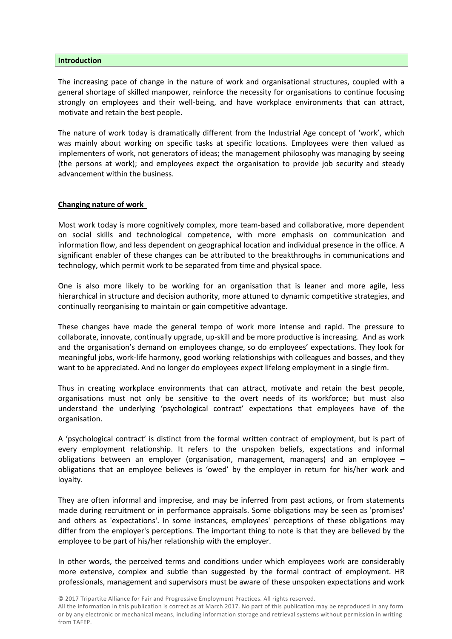#### **Introduction**

The increasing pace of change in the nature of work and organisational structures, coupled with a general shortage of skilled manpower, reinforce the necessity for organisations to continue focusing strongly on employees and their well-being, and have workplace environments that can attract, motivate and retain the best people.

The nature of work today is dramatically different from the Industrial Age concept of 'work', which was mainly about working on specific tasks at specific locations. Employees were then valued as implementers of work, not generators of ideas; the management philosophy was managing by seeing (the persons at work); and employees expect the organisation to provide job security and steady advancement within the business.

## **Changing nature of work**

Most work today is more cognitively complex, more team-based and collaborative, more dependent on social skills and technological competence, with more emphasis on communication and information flow, and less dependent on geographical location and individual presence in the office. A significant enabler of these changes can be attributed to the breakthroughs in communications and technology, which permit work to be separated from time and physical space.

One is also more likely to be working for an organisation that is leaner and more agile, less hierarchical in structure and decision authority, more attuned to dynamic competitive strategies, and continually reorganising to maintain or gain competitive advantage.

These changes have made the general tempo of work more intense and rapid. The pressure to collaborate, innovate, continually upgrade, up-skill and be more productive is increasing. And as work and the organisation's demand on employees change, so do employees' expectations. They look for meaningful jobs, work-life harmony, good working relationships with colleagues and bosses, and they want to be appreciated. And no longer do employees expect lifelong employment in a single firm.

Thus in creating workplace environments that can attract, motivate and retain the best people, organisations must not only be sensitive to the overt needs of its workforce; but must also understand the underlying 'psychological contract' expectations that employees have of the organisation.

A 'psychological contract' is distinct from the formal written contract of employment, but is part of every employment relationship. It refers to the unspoken beliefs, expectations and informal obligations between an employer (organisation, management, managers) and an employee – obligations that an employee believes is 'owed' by the employer in return for his/her work and loyalty.

They are often informal and imprecise, and may be inferred from past actions, or from statements made during recruitment or in performance appraisals. Some obligations may be seen as 'promises' and others as 'expectations'. In some instances, employees' perceptions of these obligations may differ from the employer's perceptions. The important thing to note is that they are believed by the employee to be part of his/her relationship with the employer.

In other words, the perceived terms and conditions under which employees work are considerably more extensive, complex and subtle than suggested by the formal contract of employment. HR professionals, management and supervisors must be aware of these unspoken expectations and work

© 2017 Tripartite Alliance for Fair and Progressive Employment Practices. All rights reserved.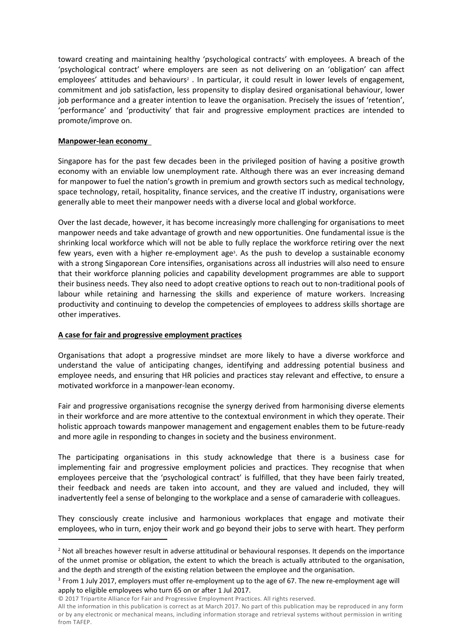toward creating and maintaining healthy 'psychological contracts' with employees. A breach of the 'psychological contract' where employers are seen as not delivering on an 'obligation' can affect employees' attitudes and behaviours<sup>2</sup>. In particular, it could result in lower levels of engagement, commitment and job satisfaction, less propensity to display desired organisational behaviour, lower job performance and a greater intention to leave the organisation. Precisely the issues of 'retention', 'performance' and 'productivity' that fair and progressive employment practices are intended to promote/improve on.

# **Manpower-lean economy**

Singapore has for the past few decades been in the privileged position of having a positive growth economy with an enviable low unemployment rate. Although there was an ever increasing demand for manpower to fuel the nation's growth in premium and growth sectors such as medical technology, space technology, retail, hospitality, finance services, and the creative IT industry, organisations were generally able to meet their manpower needs with a diverse local and global workforce.

Over the last decade, however, it has become increasingly more challenging for organisations to meet manpower needs and take advantage of growth and new opportunities. One fundamental issue is the shrinking local workforce which will not be able to fully replace the workforce retiring over the next few years, even with a higher re-employment age<sup>3</sup>. As the push to develop a sustainable economy with a strong Singaporean Core intensifies, organisations across all industries will also need to ensure that their workforce planning policies and capability development programmes are able to support their business needs. They also need to adopt creative options to reach out to non-traditional pools of labour while retaining and harnessing the skills and experience of mature workers. Increasing productivity and continuing to develop the competencies of employees to address skills shortage are other imperatives.

# **A case for fair and progressive employment practices**

Organisations that adopt a progressive mindset are more likely to have a diverse workforce and understand the value of anticipating changes, identifying and addressing potential business and employee needs, and ensuring that HR policies and practices stay relevant and effective, to ensure a motivated workforce in a manpower-lean economy.

Fair and progressive organisations recognise the synergy derived from harmonising diverse elements in their workforce and are more attentive to the contextual environment in which they operate. Their holistic approach towards manpower management and engagement enables them to be future-ready and more agile in responding to changes in society and the business environment.

The participating organisations in this study acknowledge that there is a business case for implementing fair and progressive employment policies and practices. They recognise that when employees perceive that the 'psychological contract' is fulfilled, that they have been fairly treated, their feedback and needs are taken into account, and they are valued and included, they will inadvertently feel a sense of belonging to the workplace and a sense of camaraderie with colleagues.

They consciously create inclusive and harmonious workplaces that engage and motivate their employees, who in turn, enjoy their work and go beyond their jobs to serve with heart. They perform

© 2017 Tripartite Alliance for Fair and Progressive Employment Practices. All rights reserved.

<sup>&</sup>lt;sup>2</sup> Not all breaches however result in adverse attitudinal or behavioural responses. It depends on the importance of the unmet promise or obligation, the extent to which the breach is actually attributed to the organisation, and the depth and strength of the existing relation between the employee and the organisation.

<sup>3</sup> From 1 July 2017, employers must offer re-employment up to the age of 67. The new re-employment age will apply to eligible employees who turn 65 on or after 1 Jul 2017.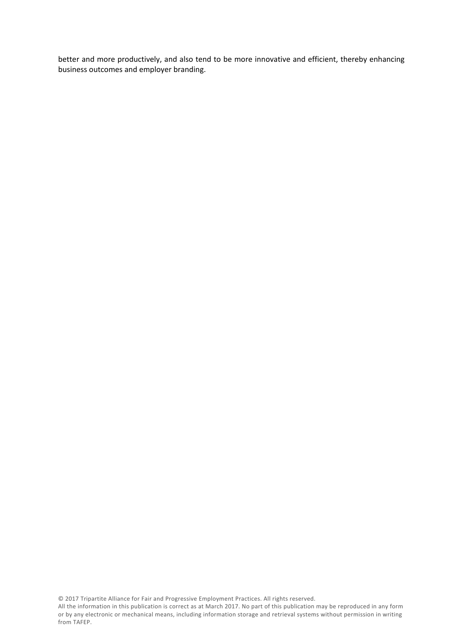better and more productively, and also tend to be more innovative and efficient, thereby enhancing business outcomes and employer branding.

© 2017 Tripartite Alliance for Fair and Progressive Employment Practices. All rights reserved.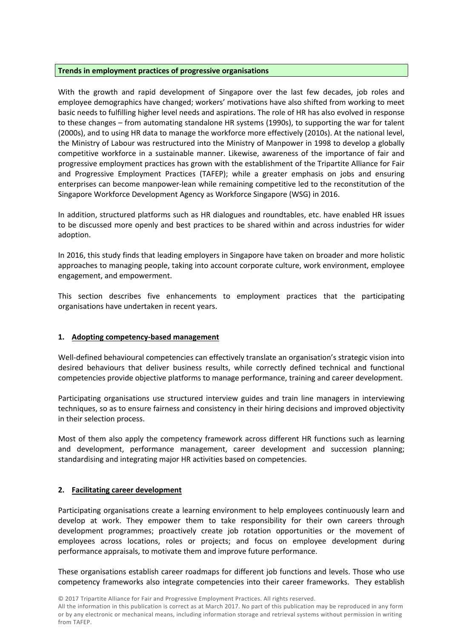# **Trends in employment practices of progressive organisations**

With the growth and rapid development of Singapore over the last few decades, job roles and employee demographics have changed; workers' motivations have also shifted from working to meet basic needs to fulfilling higher level needs and aspirations. The role of HR has also evolved in response to these changes – from automating standalone HR systems (1990s), to supporting the war for talent (2000s), and to using HR data to manage the workforce more effectively (2010s). At the national level, the Ministry of Labour was restructured into the Ministry of Manpower in 1998 to develop a globally competitive workforce in a sustainable manner. Likewise, awareness of the importance of fair and progressive employment practices has grown with the establishment of the Tripartite Alliance for Fair and Progressive Employment Practices (TAFEP); while a greater emphasis on jobs and ensuring enterprises can become manpower-lean while remaining competitive led to the reconstitution of the Singapore Workforce Development Agency as Workforce Singapore (WSG) in 2016.

In addition, structured platforms such as HR dialogues and roundtables, etc. have enabled HR issues to be discussed more openly and best practices to be shared within and across industries for wider adoption.

In 2016, this study finds that leading employers in Singapore have taken on broader and more holistic approaches to managing people, taking into account corporate culture, work environment, employee engagement, and empowerment.

This section describes five enhancements to employment practices that the participating organisations have undertaken in recent years.

# **1. Adopting competency-based management**

Well-defined behavioural competencies can effectively translate an organisation's strategic vision into desired behaviours that deliver business results, while correctly defined technical and functional competencies provide objective platforms to manage performance, training and career development.

Participating organisations use structured interview guides and train line managers in interviewing techniques, so as to ensure fairness and consistency in their hiring decisions and improved objectivity in their selection process.

Most of them also apply the competency framework across different HR functions such as learning and development, performance management, career development and succession planning; standardising and integrating major HR activities based on competencies.

# **2. Facilitating career development**

Participating organisations create a learning environment to help employees continuously learn and develop at work. They empower them to take responsibility for their own careers through development programmes; proactively create job rotation opportunities or the movement of employees across locations, roles or projects; and focus on employee development during performance appraisals, to motivate them and improve future performance.

These organisations establish career roadmaps for different job functions and levels. Those who use competency frameworks also integrate competencies into their career frameworks. They establish

© 2017 Tripartite Alliance for Fair and Progressive Employment Practices. All rights reserved.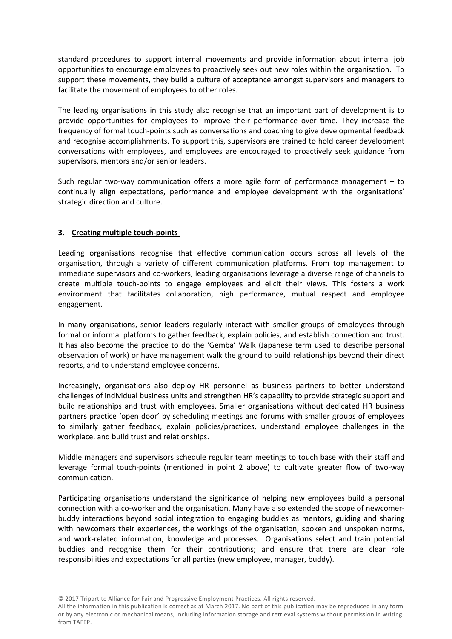standard procedures to support internal movements and provide information about internal job opportunities to encourage employees to proactively seek out new roles within the organisation. To support these movements, they build a culture of acceptance amongst supervisors and managers to facilitate the movement of employees to other roles.

The leading organisations in this study also recognise that an important part of development is to provide opportunities for employees to improve their performance over time. They increase the frequency of formal touch-points such as conversations and coaching to give developmental feedback and recognise accomplishments. To support this, supervisors are trained to hold career development conversations with employees, and employees are encouraged to proactively seek guidance from supervisors, mentors and/or senior leaders.

Such regular two-way communication offers a more agile form of performance management – to continually align expectations, performance and employee development with the organisations' strategic direction and culture.

# **3. Creating multiple touch-points**

Leading organisations recognise that effective communication occurs across all levels of the organisation, through a variety of different communication platforms. From top management to immediate supervisors and co-workers, leading organisations leverage a diverse range of channels to create multiple touch-points to engage employees and elicit their views. This fosters a work environment that facilitates collaboration, high performance, mutual respect and employee engagement.

In many organisations, senior leaders regularly interact with smaller groups of employees through formal or informal platforms to gather feedback, explain policies, and establish connection and trust. It has also become the practice to do the 'Gemba' Walk (Japanese term used to describe personal observation of work) or have management walk the ground to build relationships beyond their direct reports, and to understand employee concerns.

Increasingly, organisations also deploy HR personnel as business partners to better understand challenges of individual business units and strengthen HR's capability to provide strategic support and build relationships and trust with employees. Smaller organisations without dedicated HR business partners practice 'open door' by scheduling meetings and forums with smaller groups of employees to similarly gather feedback, explain policies/practices, understand employee challenges in the workplace, and build trust and relationships.

Middle managers and supervisors schedule regular team meetings to touch base with their staff and leverage formal touch-points (mentioned in point 2 above) to cultivate greater flow of two-way communication.

Participating organisations understand the significance of helping new employees build a personal connection with a co-worker and the organisation. Many have also extended the scope of newcomerbuddy interactions beyond social integration to engaging buddies as mentors, guiding and sharing with newcomers their experiences, the workings of the organisation, spoken and unspoken norms, and work-related information, knowledge and processes. Organisations select and train potential buddies and recognise them for their contributions; and ensure that there are clear role responsibilities and expectations for all parties (new employee, manager, buddy).

© 2017 Tripartite Alliance for Fair and Progressive Employment Practices. All rights reserved.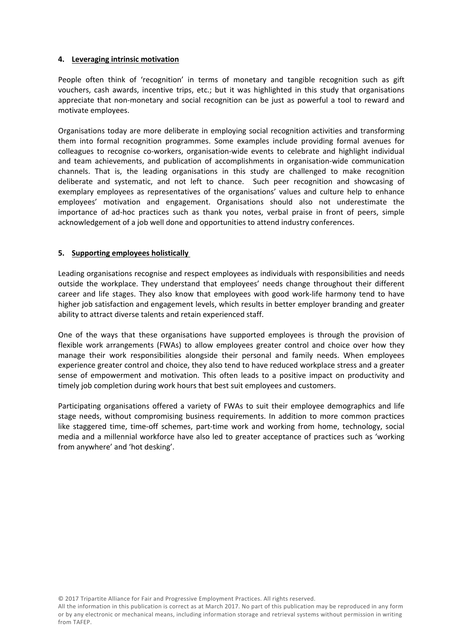# **4. Leveraging intrinsic motivation**

People often think of 'recognition' in terms of monetary and tangible recognition such as gift vouchers, cash awards, incentive trips, etc.; but it was highlighted in this study that organisations appreciate that non-monetary and social recognition can be just as powerful a tool to reward and motivate employees.

Organisations today are more deliberate in employing social recognition activities and transforming them into formal recognition programmes. Some examples include providing formal avenues for colleagues to recognise co-workers, organisation-wide events to celebrate and highlight individual and team achievements, and publication of accomplishments in organisation-wide communication channels. That is, the leading organisations in this study are challenged to make recognition deliberate and systematic, and not left to chance. Such peer recognition and showcasing of exemplary employees as representatives of the organisations' values and culture help to enhance employees' motivation and engagement. Organisations should also not underestimate the importance of ad-hoc practices such as thank you notes, verbal praise in front of peers, simple acknowledgement of a job well done and opportunities to attend industry conferences.

# **5. Supporting employees holistically**

Leading organisations recognise and respect employees as individuals with responsibilities and needs outside the workplace. They understand that employees' needs change throughout their different career and life stages. They also know that employees with good work-life harmony tend to have higher job satisfaction and engagement levels, which results in better employer branding and greater ability to attract diverse talents and retain experienced staff.

One of the ways that these organisations have supported employees is through the provision of flexible work arrangements (FWAs) to allow employees greater control and choice over how they manage their work responsibilities alongside their personal and family needs. When employees experience greater control and choice, they also tend to have reduced workplace stress and a greater sense of empowerment and motivation. This often leads to a positive impact on productivity and timely job completion during work hours that best suit employees and customers.

Participating organisations offered a variety of FWAs to suit their employee demographics and life stage needs, without compromising business requirements. In addition to more common practices like staggered time, time-off schemes, part-time work and working from home, technology, social media and a millennial workforce have also led to greater acceptance of practices such as 'working from anywhere' and 'hot desking'.

© 2017 Tripartite Alliance for Fair and Progressive Employment Practices. All rights reserved.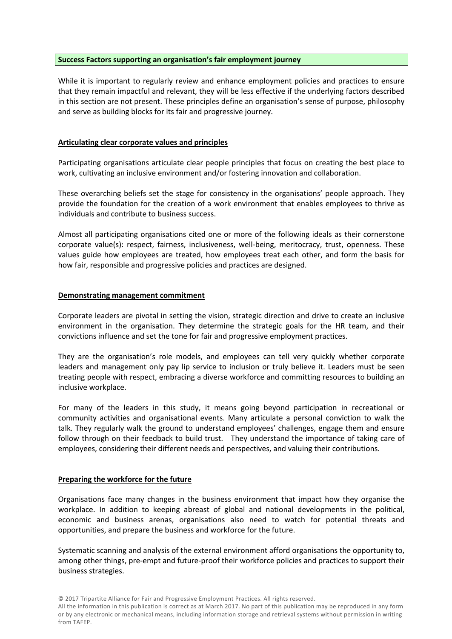# **Success Factors supporting an organisation's fair employment journey**

While it is important to regularly review and enhance employment policies and practices to ensure that they remain impactful and relevant, they will be less effective if the underlying factors described in this section are not present. These principles define an organisation's sense of purpose, philosophy and serve as building blocks for its fair and progressive journey.

# **Articulating clear corporate values and principles**

Participating organisations articulate clear people principles that focus on creating the best place to work, cultivating an inclusive environment and/or fostering innovation and collaboration.

These overarching beliefs set the stage for consistency in the organisations' people approach. They provide the foundation for the creation of a work environment that enables employees to thrive as individuals and contribute to business success.

Almost all participating organisations cited one or more of the following ideals as their cornerstone corporate value(s): respect, fairness, inclusiveness, well-being, meritocracy, trust, openness. These values guide how employees are treated, how employees treat each other, and form the basis for how fair, responsible and progressive policies and practices are designed.

# **Demonstrating management commitment**

Corporate leaders are pivotal in setting the vision, strategic direction and drive to create an inclusive environment in the organisation. They determine the strategic goals for the HR team, and their convictions influence and set the tone for fair and progressive employment practices.

They are the organisation's role models, and employees can tell very quickly whether corporate leaders and management only pay lip service to inclusion or truly believe it. Leaders must be seen treating people with respect, embracing a diverse workforce and committing resources to building an inclusive workplace.

For many of the leaders in this study, it means going beyond participation in recreational or community activities and organisational events. Many articulate a personal conviction to walk the talk. They regularly walk the ground to understand employees' challenges, engage them and ensure follow through on their feedback to build trust. They understand the importance of taking care of employees, considering their different needs and perspectives, and valuing their contributions.

# **Preparing the workforce for the future**

Organisations face many changes in the business environment that impact how they organise the workplace. In addition to keeping abreast of global and national developments in the political, economic and business arenas, organisations also need to watch for potential threats and opportunities, and prepare the business and workforce for the future.

Systematic scanning and analysis of the external environment afford organisations the opportunity to, among other things, pre-empt and future-proof their workforce policies and practices to support their business strategies.

<sup>©</sup> 2017 Tripartite Alliance for Fair and Progressive Employment Practices. All rights reserved.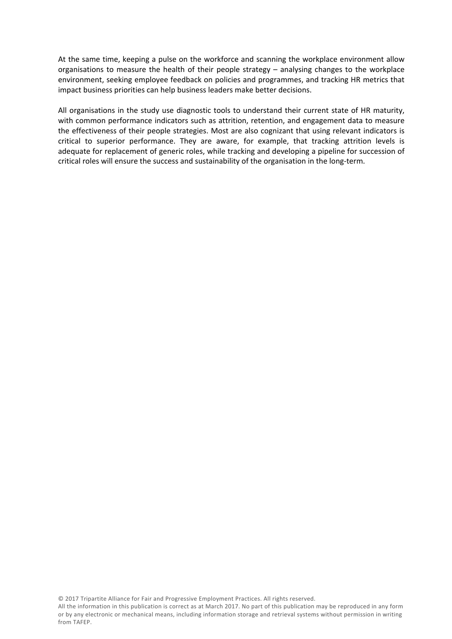At the same time, keeping a pulse on the workforce and scanning the workplace environment allow organisations to measure the health of their people strategy – analysing changes to the workplace environment, seeking employee feedback on policies and programmes, and tracking HR metrics that impact business priorities can help business leaders make better decisions.

All organisations in the study use diagnostic tools to understand their current state of HR maturity, with common performance indicators such as attrition, retention, and engagement data to measure the effectiveness of their people strategies. Most are also cognizant that using relevant indicators is critical to superior performance. They are aware, for example, that tracking attrition levels is adequate for replacement of generic roles, while tracking and developing a pipeline for succession of critical roles will ensure the success and sustainability of the organisation in the long-term.

© 2017 Tripartite Alliance for Fair and Progressive Employment Practices. All rights reserved.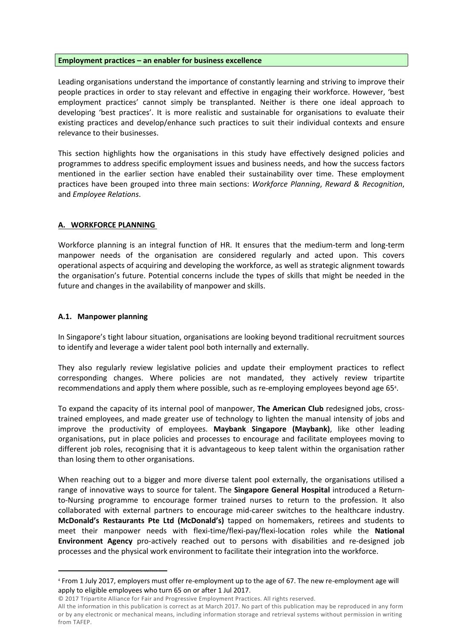#### **Employment practices – an enabler for business excellence**

Leading organisations understand the importance of constantly learning and striving to improve their people practices in order to stay relevant and effective in engaging their workforce. However, 'best employment practices' cannot simply be transplanted. Neither is there one ideal approach to developing 'best practices'. It is more realistic and sustainable for organisations to evaluate their existing practices and develop/enhance such practices to suit their individual contexts and ensure relevance to their businesses.

This section highlights how the organisations in this study have effectively designed policies and programmes to address specific employment issues and business needs, and how the success factors mentioned in the earlier section have enabled their sustainability over time. These employment practices have been grouped into three main sections: *Workforce Planning*, *Reward & Recognition*, and *Employee Relations*.

# **A. WORKFORCE PLANNING**

Workforce planning is an integral function of HR. It ensures that the medium-term and long-term manpower needs of the organisation are considered regularly and acted upon. This covers operational aspects of acquiring and developing the workforce, as well as strategic alignment towards the organisation's future. Potential concerns include the types of skills that might be needed in the future and changes in the availability of manpower and skills.

# **A.1. Manpower planning**

In Singapore's tight labour situation, organisations are looking beyond traditional recruitment sources to identify and leverage a wider talent pool both internally and externally.

They also regularly review legislative policies and update their employment practices to reflect corresponding changes. Where policies are not mandated, they actively review tripartite recommendations and apply them where possible, such as re-employing employees beyond age 65<sup>4</sup> .

To expand the capacity of its internal pool of manpower, **The American Club** redesigned jobs, crosstrained employees, and made greater use of technology to lighten the manual intensity of jobs and improve the productivity of employees. **Maybank Singapore (Maybank)**, like other leading organisations, put in place policies and processes to encourage and facilitate employees moving to different job roles, recognising that it is advantageous to keep talent within the organisation rather than losing them to other organisations.

When reaching out to a bigger and more diverse talent pool externally, the organisations utilised a range of innovative ways to source for talent. The **Singapore General Hospital** introduced a Returnto-Nursing programme to encourage former trained nurses to return to the profession. It also collaborated with external partners to encourage mid-career switches to the healthcare industry. **McDonald's Restaurants Pte Ltd (McDonald's)** tapped on homemakers, retirees and students to meet their manpower needs with flexi-time/flexi-pay/flexi-location roles while the **National Environment Agency** pro-actively reached out to persons with disabilities and re-designed job processes and the physical work environment to facilitate their integration into the workforce.

<sup>4</sup> From 1 July 2017, employers must offer re-employment up to the age of 67. The new re-employment age will apply to eligible employees who turn 65 on or after 1 Jul 2017.

<sup>©</sup> 2017 Tripartite Alliance for Fair and Progressive Employment Practices. All rights reserved.

All the information in this publication is correct as at March 2017. No part of this publication may be reproduced in any form or by any electronic or mechanical means, including information storage and retrieval systems without permission in writing from TAFEP.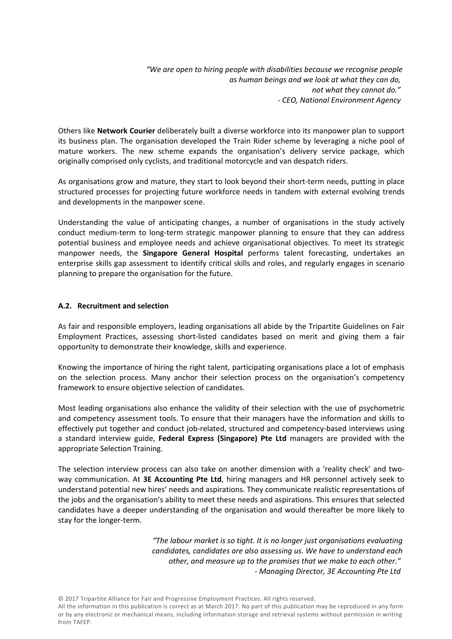*"We are open to hiring people with disabilities because we recognise people as human beings and we look at what they can do, not what they cannot do." - CEO, National Environment Agency* 

Others like **Network Courier** deliberately built a diverse workforce into its manpower plan to support its business plan. The organisation developed the Train Rider scheme by leveraging a niche pool of mature workers. The new scheme expands the organisation's delivery service package, which originally comprised only cyclists, and traditional motorcycle and van despatch riders.

As organisations grow and mature, they start to look beyond their short-term needs, putting in place structured processes for projecting future workforce needs in tandem with external evolving trends and developments in the manpower scene.

Understanding the value of anticipating changes, a number of organisations in the study actively conduct medium-term to long-term strategic manpower planning to ensure that they can address potential business and employee needs and achieve organisational objectives. To meet its strategic manpower needs, the **Singapore General Hospital** performs talent forecasting, undertakes an enterprise skills gap assessment to identify critical skills and roles, and regularly engages in scenario planning to prepare the organisation for the future.

# **A.2. Recruitment and selection**

As fair and responsible employers, leading organisations all abide by the Tripartite Guidelines on Fair Employment Practices, assessing short-listed candidates based on merit and giving them a fair opportunity to demonstrate their knowledge, skills and experience.

Knowing the importance of hiring the right talent, participating organisations place a lot of emphasis on the selection process. Many anchor their selection process on the organisation's competency framework to ensure objective selection of candidates.

Most leading organisations also enhance the validity of their selection with the use of psychometric and competency assessment tools. To ensure that their managers have the information and skills to effectively put together and conduct job-related, structured and competency-based interviews using a standard interview guide, **Federal Express (Singapore) Pte Ltd** managers are provided with the appropriate Selection Training.

The selection interview process can also take on another dimension with a 'reality check' and twoway communication. At **3E Accounting Pte Ltd**, hiring managers and HR personnel actively seek to understand potential new hires' needs and aspirations. They communicate realistic representations of the jobs and the organisation's ability to meet these needs and aspirations. This ensures that selected candidates have a deeper understanding of the organisation and would thereafter be more likely to stay for the longer-term.

> *"The labour market is so tight. It is no longer just organisations evaluating candidates, candidates are also assessing us. We have to understand each other, and measure up to the promises that we make to each other." - Managing Director, 3E Accounting Pte Ltd*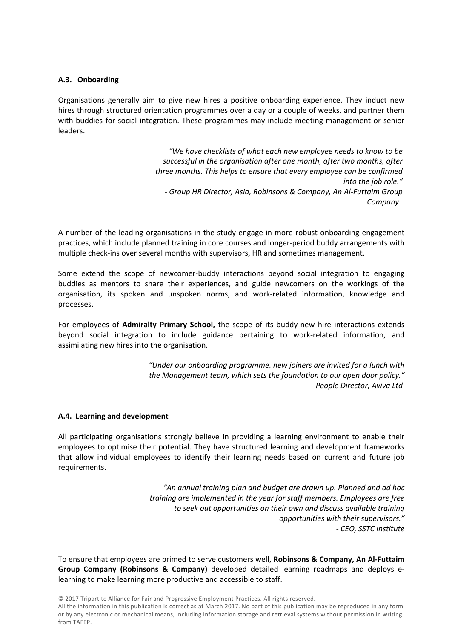# **A.3. Onboarding**

Organisations generally aim to give new hires a positive onboarding experience. They induct new hires through structured orientation programmes over a day or a couple of weeks, and partner them with buddies for social integration. These programmes may include meeting management or senior leaders.

> *"We have checklists of what each new employee needs to know to be successful in the organisation after one month, after two months, after three months. This helps to ensure that every employee can be confirmed into the job role." - Group HR Director, Asia, Robinsons & Company, An Al-Futtaim Group Company*

A number of the leading organisations in the study engage in more robust onboarding engagement practices, which include planned training in core courses and longer-period buddy arrangements with multiple check-ins over several months with supervisors, HR and sometimes management.

Some extend the scope of newcomer-buddy interactions beyond social integration to engaging buddies as mentors to share their experiences, and guide newcomers on the workings of the organisation, its spoken and unspoken norms, and work-related information, knowledge and processes.

For employees of **Admiralty Primary School,** the scope of its buddy-new hire interactions extends beyond social integration to include guidance pertaining to work-related information, and assimilating new hires into the organisation.

> *"Under our onboarding programme, new joiners are invited for a lunch with the Management team, which sets the foundation to our open door policy." - People Director, Aviva Ltd*

#### **A.4. Learning and development**

All participating organisations strongly believe in providing a learning environment to enable their employees to optimise their potential. They have structured learning and development frameworks that allow individual employees to identify their learning needs based on current and future job requirements.

> *"An annual training plan and budget are drawn up. Planned and ad hoc training are implemented in the year for staff members. Employees are free to seek out opportunities on their own and discuss available training opportunities with their supervisors." - CEO, SSTC Institute*

To ensure that employees are primed to serve customers well, **Robinsons & Company, An Al-Futtaim Group Company (Robinsons & Company)** developed detailed learning roadmaps and deploys elearning to make learning more productive and accessible to staff.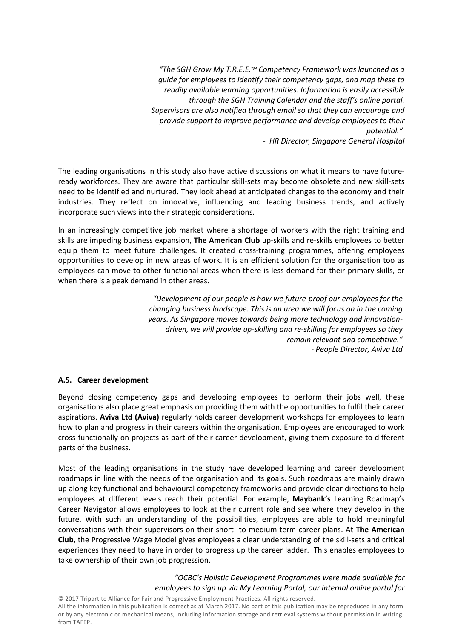*"The SGH Grow My T.R.E.E.TM Competency Framework was launched as a guide for employees to identify their competency gaps, and map these to readily available learning opportunities. Information is easily accessible through the SGH Training Calendar and the staff's online portal. Supervisors are also notified through email so that they can encourage and provide support to improve performance and develop employees to their potential."* 

*- HR Director, Singapore General Hospital*

The leading organisations in this study also have active discussions on what it means to have futureready workforces. They are aware that particular skill-sets may become obsolete and new skill-sets need to be identified and nurtured. They look ahead at anticipated changes to the economy and their industries. They reflect on innovative, influencing and leading business trends, and actively incorporate such views into their strategic considerations.

In an increasingly competitive job market where a shortage of workers with the right training and skills are impeding business expansion, **The American Club** up-skills and re-skills employees to better equip them to meet future challenges. It created cross-training programmes, offering employees opportunities to develop in new areas of work. It is an efficient solution for the organisation too as employees can move to other functional areas when there is less demand for their primary skills, or when there is a peak demand in other areas.

> *"Development of our people is how we future-proof our employees for the changing business landscape. This is an area we will focus on in the coming years. As Singapore moves towards being more technology and innovationdriven, we will provide up-skilling and re-skilling for employees so they remain relevant and competitive." - People Director, Aviva Ltd*

# **A.5. Career development**

Beyond closing competency gaps and developing employees to perform their jobs well, these organisations also place great emphasis on providing them with the opportunities to fulfil their career aspirations. **Aviva Ltd (Aviva)** regularly holds career development workshops for employees to learn how to plan and progress in their careers within the organisation. Employees are encouraged to work cross-functionally on projects as part of their career development, giving them exposure to different parts of the business.

Most of the leading organisations in the study have developed learning and career development roadmaps in line with the needs of the organisation and its goals. Such roadmaps are mainly drawn up along key functional and behavioural competency frameworks and provide clear directions to help employees at different levels reach their potential. For example, **Maybank's** Learning Roadmap's Career Navigator allows employees to look at their current role and see where they develop in the future. With such an understanding of the possibilities, employees are able to hold meaningful conversations with their supervisors on their short- to medium-term career plans. At **The American Club**, the Progressive Wage Model gives employees a clear understanding of the skill-sets and critical experiences they need to have in order to progress up the career ladder. This enables employees to take ownership of their own job progression.

# *"OCBC's Holistic Development Programmes were made available for employees to sign up via My Learning Portal, our internal online portal for*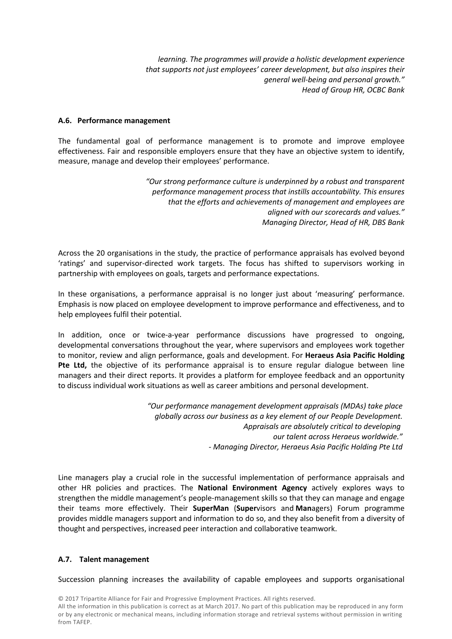*learning. The programmes will provide a holistic development experience that supports not just employees' career development, but also inspires their general well-being and personal growth." Head of Group HR, OCBC Bank*

# **A.6. Performance management**

The fundamental goal of performance management is to promote and improve employee effectiveness. Fair and responsible employers ensure that they have an objective system to identify, measure, manage and develop their employees' performance.

> *"Our strong performance culture is underpinned by a robust and transparent performance management process that instills accountability. This ensures that the efforts and achievements of management and employees are aligned with our scorecards and values." Managing Director, Head of HR, DBS Bank*

Across the 20 organisations in the study, the practice of performance appraisals has evolved beyond 'ratings' and supervisor-directed work targets. The focus has shifted to supervisors working in partnership with employees on goals, targets and performance expectations.

In these organisations, a performance appraisal is no longer just about 'measuring' performance. Emphasis is now placed on employee development to improve performance and effectiveness, and to help employees fulfil their potential.

In addition, once or twice-a-year performance discussions have progressed to ongoing, developmental conversations throughout the year, where supervisors and employees work together to monitor, review and align performance, goals and development. For **Heraeus Asia Pacific Holding Pte Ltd,** the objective of its performance appraisal is to ensure regular dialogue between line managers and their direct reports. It provides a platform for employee feedback and an opportunity to discuss individual work situations as well as career ambitions and personal development.

> *"Our performance management development appraisals (MDAs) take place globally across our business as a key element of our People Development. Appraisals are absolutely critical to developing our talent across Heraeus worldwide." - Managing Director, Heraeus Asia Pacific Holding Pte Ltd*

Line managers play a crucial role in the successful implementation of performance appraisals and other HR policies and practices. The **National Environment Agency** actively explores ways to strengthen the middle management's people-management skills so that they can manage and engage their teams more effectively. Their **SuperMan** (**Super**visors and **Man**agers) Forum programme provides middle managers support and information to do so, and they also benefit from a diversity of thought and perspectives, increased peer interaction and collaborative teamwork.

# **A.7. Talent management**

Succession planning increases the availability of capable employees and supports organisational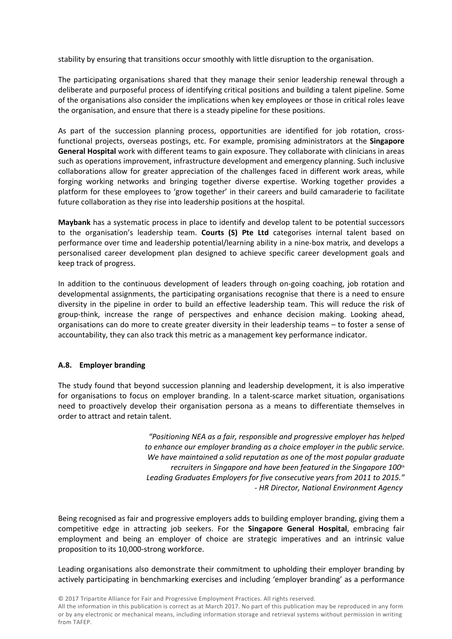stability by ensuring that transitions occur smoothly with little disruption to the organisation.

The participating organisations shared that they manage their senior leadership renewal through a deliberate and purposeful process of identifying critical positions and building a talent pipeline. Some of the organisations also consider the implications when key employees or those in critical roles leave the organisation, and ensure that there is a steady pipeline for these positions.

As part of the succession planning process, opportunities are identified for job rotation, crossfunctional projects, overseas postings, etc. For example, promising administrators at the **Singapore General Hospital** work with different teams to gain exposure. They collaborate with clinicians in areas such as operations improvement, infrastructure development and emergency planning. Such inclusive collaborations allow for greater appreciation of the challenges faced in different work areas, while forging working networks and bringing together diverse expertise. Working together provides a platform for these employees to 'grow together' in their careers and build camaraderie to facilitate future collaboration as they rise into leadership positions at the hospital.

**Maybank** has a systematic process in place to identify and develop talent to be potential successors to the organisation's leadership team. **Courts (S) Pte Ltd** categorises internal talent based on performance over time and leadership potential/learning ability in a nine-box matrix, and develops a personalised career development plan designed to achieve specific career development goals and keep track of progress.

In addition to the continuous development of leaders through on-going coaching, job rotation and developmental assignments, the participating organisations recognise that there is a need to ensure diversity in the pipeline in order to build an effective leadership team. This will reduce the risk of group-think, increase the range of perspectives and enhance decision making. Looking ahead, organisations can do more to create greater diversity in their leadership teams – to foster a sense of accountability, they can also track this metric as a management key performance indicator.

# **A.8. Employer branding**

The study found that beyond succession planning and leadership development, it is also imperative for organisations to focus on employer branding. In a talent-scarce market situation, organisations need to proactively develop their organisation persona as a means to differentiate themselves in order to attract and retain talent.

> *"Positioning NEA as a fair, responsible and progressive employer has helped to enhance our employer branding as a choice employer in the public service. We have maintained a solid reputation as one of the most popular graduate recruiters in Singapore and have been featured in the Singapore 100th Leading Graduates Employers for five consecutive years from 2011 to 2015." - HR Director, National Environment Agency*

Being recognised as fair and progressive employers adds to building employer branding, giving them a competitive edge in attracting job seekers. For the **Singapore General Hospital**, embracing fair employment and being an employer of choice are strategic imperatives and an intrinsic value proposition to its 10,000-strong workforce.

Leading organisations also demonstrate their commitment to upholding their employer branding by actively participating in benchmarking exercises and including 'employer branding' as a performance

© 2017 Tripartite Alliance for Fair and Progressive Employment Practices. All rights reserved.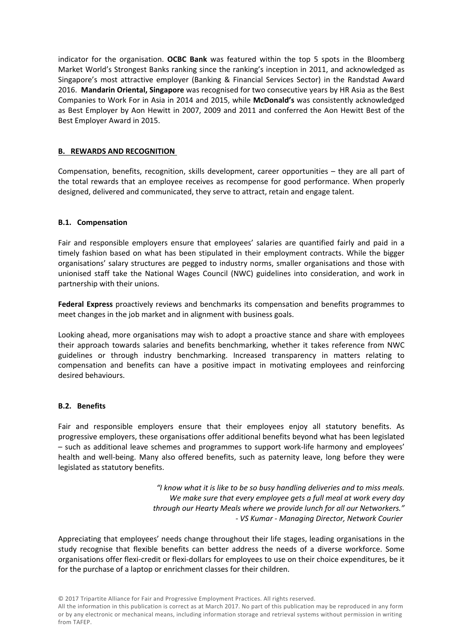indicator for the organisation. **OCBC Bank** was featured within the top 5 spots in the Bloomberg Market World's Strongest Banks ranking since the ranking's inception in 2011, and acknowledged as Singapore's most attractive employer (Banking & Financial Services Sector) in the Randstad Award 2016. **Mandarin Oriental, Singapore** was recognised for two consecutive years by HR Asia as the Best Companies to Work For in Asia in 2014 and 2015, while **McDonald's** was consistently acknowledged as Best Employer by Aon Hewitt in 2007, 2009 and 2011 and conferred the Aon Hewitt Best of the Best Employer Award in 2015.

# **B. REWARDS AND RECOGNITION**

Compensation, benefits, recognition, skills development, career opportunities – they are all part of the total rewards that an employee receives as recompense for good performance. When properly designed, delivered and communicated, they serve to attract, retain and engage talent.

# **B.1. Compensation**

Fair and responsible employers ensure that employees' salaries are quantified fairly and paid in a timely fashion based on what has been stipulated in their employment contracts. While the bigger organisations' salary structures are pegged to industry norms, smaller organisations and those with unionised staff take the National Wages Council (NWC) guidelines into consideration, and work in partnership with their unions.

**Federal Express** proactively reviews and benchmarks its compensation and benefits programmes to meet changes in the job market and in alignment with business goals.

Looking ahead, more organisations may wish to adopt a proactive stance and share with employees their approach towards salaries and benefits benchmarking, whether it takes reference from NWC guidelines or through industry benchmarking. Increased transparency in matters relating to compensation and benefits can have a positive impact in motivating employees and reinforcing desired behaviours.

# **B.2. Benefits**

Fair and responsible employers ensure that their employees enjoy all statutory benefits. As progressive employers, these organisations offer additional benefits beyond what has been legislated – such as additional leave schemes and programmes to support work-life harmony and employees' health and well-being. Many also offered benefits, such as paternity leave, long before they were legislated as statutory benefits.

> *"I know what it is like to be so busy handling deliveries and to miss meals. We make sure that every employee gets a full meal at work every day through our Hearty Meals where we provide lunch for all our Networkers." - VS Kumar - Managing Director, Network Courier*

Appreciating that employees' needs change throughout their life stages, leading organisations in the study recognise that flexible benefits can better address the needs of a diverse workforce. Some organisations offer flexi-credit or flexi-dollars for employees to use on their choice expenditures, be it for the purchase of a laptop or enrichment classes for their children.

<sup>©</sup> 2017 Tripartite Alliance for Fair and Progressive Employment Practices. All rights reserved.

All the information in this publication is correct as at March 2017. No part of this publication may be reproduced in any form or by any electronic or mechanical means, including information storage and retrieval systems without permission in writing from TAFEP.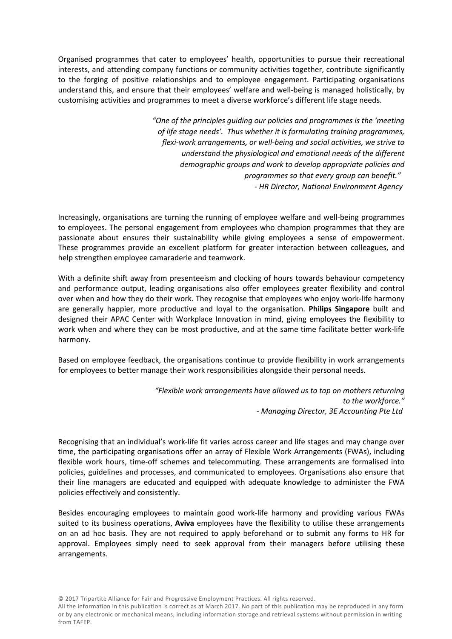Organised programmes that cater to employees' health, opportunities to pursue their recreational interests, and attending company functions or community activities together, contribute significantly to the forging of positive relationships and to employee engagement. Participating organisations understand this, and ensure that their employees' welfare and well-being is managed holistically, by customising activities and programmes to meet a diverse workforce's different life stage needs.

> *"One of the principles guiding our policies and programmes is the 'meeting of life stage needs'. Thus whether it is formulating training programmes, flexi-work arrangements, or well-being and social activities, we strive to understand the physiological and emotional needs of the different demographic groups and work to develop appropriate policies and programmes so that every group can benefit." - HR Director, National Environment Agency*

Increasingly, organisations are turning the running of employee welfare and well-being programmes to employees. The personal engagement from employees who champion programmes that they are passionate about ensures their sustainability while giving employees a sense of empowerment. These programmes provide an excellent platform for greater interaction between colleagues, and help strengthen employee camaraderie and teamwork.

With a definite shift away from presenteeism and clocking of hours towards behaviour competency and performance output, leading organisations also offer employees greater flexibility and control over when and how they do their work. They recognise that employees who enjoy work-life harmony are generally happier, more productive and loyal to the organisation. **Philips Singapore** built and designed their APAC Center with Workplace Innovation in mind, giving employees the flexibility to work when and where they can be most productive, and at the same time facilitate better work-life harmony.

Based on employee feedback, the organisations continue to provide flexibility in work arrangements for employees to better manage their work responsibilities alongside their personal needs.

> *"Flexible work arrangements have allowed us to tap on mothers returning to the workforce." - Managing Director, 3E Accounting Pte Ltd*

Recognising that an individual's work-life fit varies across career and life stages and may change over time, the participating organisations offer an array of Flexible Work Arrangements (FWAs), including flexible work hours, time-off schemes and telecommuting. These arrangements are formalised into policies, guidelines and processes, and communicated to employees. Organisations also ensure that their line managers are educated and equipped with adequate knowledge to administer the FWA policies effectively and consistently.

Besides encouraging employees to maintain good work-life harmony and providing various FWAs suited to its business operations, **Aviva** employees have the flexibility to utilise these arrangements on an ad hoc basis. They are not required to apply beforehand or to submit any forms to HR for approval. Employees simply need to seek approval from their managers before utilising these arrangements.

© 2017 Tripartite Alliance for Fair and Progressive Employment Practices. All rights reserved.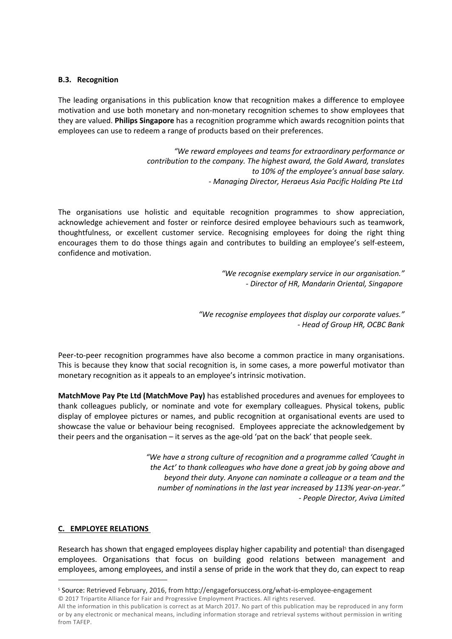# **B.3. Recognition**

The leading organisations in this publication know that recognition makes a difference to employee motivation and use both monetary and non-monetary recognition schemes to show employees that they are valued. **Philips Singapore** has a recognition programme which awards recognition points that employees can use to redeem a range of products based on their preferences.

> *"We reward employees and teams for extraordinary performance or contribution to the company. The highest award, the Gold Award, translates to 10% of the employee's annual base salary. - Managing Director, Heraeus Asia Pacific Holding Pte Ltd*

The organisations use holistic and equitable recognition programmes to show appreciation, acknowledge achievement and foster or reinforce desired employee behaviours such as teamwork, thoughtfulness, or excellent customer service. Recognising employees for doing the right thing encourages them to do those things again and contributes to building an employee's self-esteem, confidence and motivation.

> *"We recognise exemplary service in our organisation." - Director of HR, Mandarin Oriental, Singapore*

*"We recognise employees that display our corporate values." - Head of Group HR, OCBC Bank*

Peer-to-peer recognition programmes have also become a common practice in many organisations. This is because they know that social recognition is, in some cases, a more powerful motivator than monetary recognition as it appeals to an employee's intrinsic motivation.

**MatchMove Pay Pte Ltd (MatchMove Pay)** has established procedures and avenues for employees to thank colleagues publicly, or nominate and vote for exemplary colleagues. Physical tokens, public display of employee pictures or names, and public recognition at organisational events are used to showcase the value or behaviour being recognised. Employees appreciate the acknowledgement by their peers and the organisation – it serves as the age-old 'pat on the back' that people seek.

> *"We have a strong culture of recognition and a programme called 'Caught in the Act' to thank colleagues who have done a great job by going above and beyond their duty. Anyone can nominate a colleague or a team and the number of nominations in the last year increased by 113% year-on-year." - People Director, Aviva Limited*

# **C. EMPLOYEE RELATIONS**

Research has shown that engaged employees display higher capability and potential<sup>5</sup> than disengaged employees. Organisations that focus on building good relations between management and employees, among employees, and instil a sense of pride in the work that they do, can expect to reap

<sup>©</sup> 2017 Tripartite Alliance for Fair and Progressive Employment Practices. All rights reserved. 5 Source: Retrieved February, 2016, from http://engageforsuccess.org/what-is-employee-engagement

All the information in this publication is correct as at March 2017. No part of this publication may be reproduced in any form or by any electronic or mechanical means, including information storage and retrieval systems without permission in writing from TAFEP.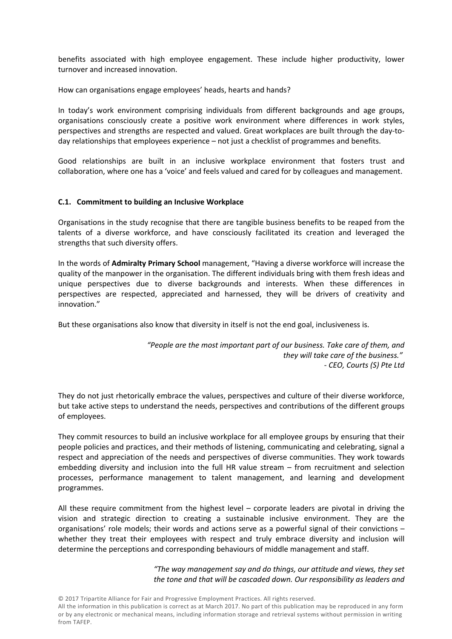benefits associated with high employee engagement. These include higher productivity, lower turnover and increased innovation.

How can organisations engage employees' heads, hearts and hands?

In today's work environment comprising individuals from different backgrounds and age groups, organisations consciously create a positive work environment where differences in work styles, perspectives and strengths are respected and valued. Great workplaces are built through the day-today relationships that employees experience – not just a checklist of programmes and benefits.

Good relationships are built in an inclusive workplace environment that fosters trust and collaboration, where one has a 'voice' and feels valued and cared for by colleagues and management.

## **C.1. Commitment to building an Inclusive Workplace**

Organisations in the study recognise that there are tangible business benefits to be reaped from the talents of a diverse workforce, and have consciously facilitated its creation and leveraged the strengths that such diversity offers.

In the words of **Admiralty Primary School** management, "Having a diverse workforce will increase the quality of the manpower in the organisation. The different individuals bring with them fresh ideas and unique perspectives due to diverse backgrounds and interests. When these differences in perspectives are respected, appreciated and harnessed, they will be drivers of creativity and innovation."

But these organisations also know that diversity in itself is not the end goal, inclusiveness is.

 *"People are the most important part of our business. Take care of them, and they will take care of the business." - CEO, Courts (S) Pte Ltd*

They do not just rhetorically embrace the values, perspectives and culture of their diverse workforce, but take active steps to understand the needs, perspectives and contributions of the different groups of employees.

They commit resources to build an inclusive workplace for all employee groups by ensuring that their people policies and practices, and their methods of listening, communicating and celebrating, signal a respect and appreciation of the needs and perspectives of diverse communities. They work towards embedding diversity and inclusion into the full HR value stream – from recruitment and selection processes, performance management to talent management, and learning and development programmes.

All these require commitment from the highest level – corporate leaders are pivotal in driving the vision and strategic direction to creating a sustainable inclusive environment. They are the organisations' role models; their words and actions serve as a powerful signal of their convictions – whether they treat their employees with respect and truly embrace diversity and inclusion will determine the perceptions and corresponding behaviours of middle management and staff.

> *"The way management say and do things, our attitude and views, they set the tone and that will be cascaded down. Our responsibility as leaders and*

© 2017 Tripartite Alliance for Fair and Progressive Employment Practices. All rights reserved.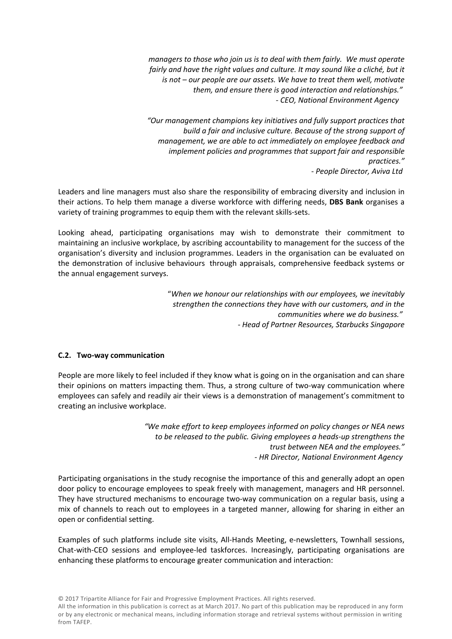*managers to those who join us is to deal with them fairly. We must operate*  fairly and have the right values and culture. It may sound like a cliché, but it *is not – our people are our assets. We have to treat them well, motivate them, and ensure there is good interaction and relationships." - CEO, National Environment Agency* 

*"Our management champions key initiatives and fully support practices that build a fair and inclusive culture. Because of the strong support of management, we are able to act immediately on employee feedback and implement policies and programmes that support fair and responsible practices." - People Director, Aviva Ltd* 

Leaders and line managers must also share the responsibility of embracing diversity and inclusion in their actions. To help them manage a diverse workforce with differing needs, **DBS Bank** organises a variety of training programmes to equip them with the relevant skills-sets.

Looking ahead, participating organisations may wish to demonstrate their commitment to maintaining an inclusive workplace, by ascribing accountability to management for the success of the organisation's diversity and inclusion programmes. Leaders in the organisation can be evaluated on the demonstration of inclusive behaviours through appraisals, comprehensive feedback systems or the annual engagement surveys."*When we honour our relationships with our employees, we inevitably* 

*strengthen the connections they have with our customers, and in the communities where we do business." - Head of Partner Resources, Starbucks Singapore*

# **C.2. Two-way communication**

People are more likely to feel included if they know what is going on in the organisation and can share their opinions on matters impacting them. Thus, a strong culture of two-way communication where employees can safely and readily air their views is a demonstration of management's commitment to creating an inclusive workplace.

> *"We make effort to keep employees informed on policy changes or NEA news to be released to the public. Giving employees a heads-up strengthens the trust between NEA and the employees." - HR Director, National Environment Agency*

Participating organisations in the study recognise the importance of this and generally adopt an open door policy to encourage employees to speak freely with management, managers and HR personnel. They have structured mechanisms to encourage two-way communication on a regular basis, using a mix of channels to reach out to employees in a targeted manner, allowing for sharing in either an open or confidential setting.

Examples of such platforms include site visits, All-Hands Meeting, e-newsletters, Townhall sessions, Chat-with-CEO sessions and employee-led taskforces. Increasingly, participating organisations are enhancing these platforms to encourage greater communication and interaction: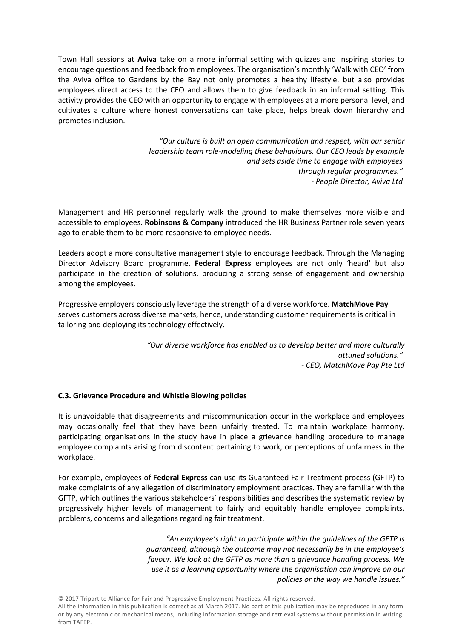Town Hall sessions at **Aviva** take on a more informal setting with quizzes and inspiring stories to encourage questions and feedback from employees. The organisation's monthly 'Walk with CEO' from the Aviva office to Gardens by the Bay not only promotes a healthy lifestyle, but also provides employees direct access to the CEO and allows them to give feedback in an informal setting. This activity provides the CEO with an opportunity to engage with employees at a more personal level, and cultivates a culture where honest conversations can take place, helps break down hierarchy and promotes inclusion.

> *"Our culture is built on open communication and respect, with our senior leadership team role-modeling these behaviours. Our CEO leads by example and sets aside time to engage with employees through regular programmes." - People Director, Aviva Ltd*

Management and HR personnel regularly walk the ground to make themselves more visible and accessible to employees. **Robinsons & Company** introduced the HR Business Partner role seven years ago to enable them to be more responsive to employee needs.

Leaders adopt a more consultative management style to encourage feedback. Through the Managing Director Advisory Board programme, **Federal Express** employees are not only 'heard' but also participate in the creation of solutions, producing a strong sense of engagement and ownership among the employees.

Progressive employers consciously leverage the strength of a diverse workforce. **MatchMove Pay**  serves customers across diverse markets, hence, understanding customer requirements is critical in tailoring and deploying its technology effectively.

> *"Our diverse workforce has enabled us to develop better and more culturally attuned solutions." - CEO, MatchMove Pay Pte Ltd*

# **C.3. Grievance Procedure and Whistle Blowing policies**

It is unavoidable that disagreements and miscommunication occur in the workplace and employees may occasionally feel that they have been unfairly treated. To maintain workplace harmony, participating organisations in the study have in place a grievance handling procedure to manage employee complaints arising from discontent pertaining to work, or perceptions of unfairness in the workplace.

For example, employees of **Federal Express** can use its Guaranteed Fair Treatment process (GFTP) to make complaints of any allegation of discriminatory employment practices. They are familiar with the GFTP, which outlines the various stakeholders' responsibilities and describes the systematic review by progressively higher levels of management to fairly and equitably handle employee complaints, problems, concerns and allegations regarding fair treatment.

> *"An employee's right to participate within the guidelines of the GFTP is guaranteed, although the outcome may not necessarily be in the employee's favour. We look at the GFTP as more than a grievance handling process. We use it as a learning opportunity where the organisation can improve on our policies or the way we handle issues."*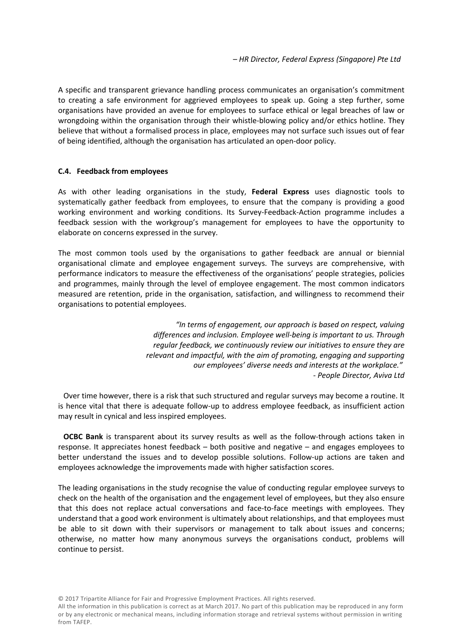A specific and transparent grievance handling process communicates an organisation's commitment to creating a safe environment for aggrieved employees to speak up. Going a step further, some organisations have provided an avenue for employees to surface ethical or legal breaches of law or wrongdoing within the organisation through their whistle-blowing policy and/or ethics hotline. They believe that without a formalised process in place, employees may not surface such issues out of fear of being identified, although the organisation has articulated an open-door policy.

# **C.4. Feedback from employees**

As with other leading organisations in the study, **Federal Express** uses diagnostic tools to systematically gather feedback from employees, to ensure that the company is providing a good working environment and working conditions. Its Survey-Feedback-Action programme includes a feedback session with the workgroup's management for employees to have the opportunity to elaborate on concerns expressed in the survey.

The most common tools used by the organisations to gather feedback are annual or biennial organisational climate and employee engagement surveys. The surveys are comprehensive, with performance indicators to measure the effectiveness of the organisations' people strategies, policies and programmes, mainly through the level of employee engagement. The most common indicators measured are retention, pride in the organisation, satisfaction, and willingness to recommend their organisations to potential employees.

> *"In terms of engagement, our approach is based on respect, valuing differences and inclusion. Employee well-being is important to us. Through regular feedback, we continuously review our initiatives to ensure they are relevant and impactful, with the aim of promoting, engaging and supporting our employees' diverse needs and interests at the workplace." - People Director, Aviva Ltd*

Over time however, there is a risk that such structured and regular surveys may become a routine. It is hence vital that there is adequate follow-up to address employee feedback, as insufficient action may result in cynical and less inspired employees.

**OCBC Bank** is transparent about its survey results as well as the follow-through actions taken in response. It appreciates honest feedback – both positive and negative – and engages employees to better understand the issues and to develop possible solutions. Follow-up actions are taken and employees acknowledge the improvements made with higher satisfaction scores.

The leading organisations in the study recognise the value of conducting regular employee surveys to check on the health of the organisation and the engagement level of employees, but they also ensure that this does not replace actual conversations and face-to-face meetings with employees. They understand that a good work environment is ultimately about relationships, and that employees must be able to sit down with their supervisors or management to talk about issues and concerns; otherwise, no matter how many anonymous surveys the organisations conduct, problems will continue to persist.

© 2017 Tripartite Alliance for Fair and Progressive Employment Practices. All rights reserved.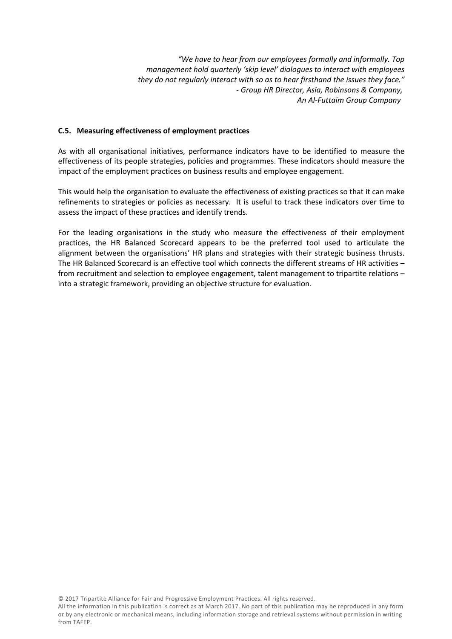*"We have to hear from our employees formally and informally. Top management hold quarterly 'skip level' dialogues to interact with employees they do not regularly interact with so as to hear firsthand the issues they face." - Group HR Director, Asia, Robinsons & Company, An Al-Futtaim Group Company* 

# **C.5. Measuring effectiveness of employment practices**

As with all organisational initiatives, performance indicators have to be identified to measure the effectiveness of its people strategies, policies and programmes. These indicators should measure the impact of the employment practices on business results and employee engagement.

This would help the organisation to evaluate the effectiveness of existing practices so that it can make refinements to strategies or policies as necessary. It is useful to track these indicators over time to assess the impact of these practices and identify trends.

For the leading organisations in the study who measure the effectiveness of their employment practices, the HR Balanced Scorecard appears to be the preferred tool used to articulate the alignment between the organisations' HR plans and strategies with their strategic business thrusts. The HR Balanced Scorecard is an effective tool which connects the different streams of HR activities – from recruitment and selection to employee engagement, talent management to tripartite relations – into a strategic fra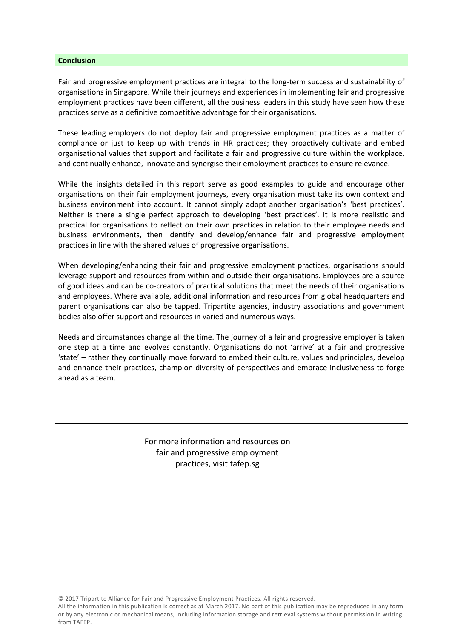#### **Conclusion**

Fair and progressive employment practices are integral to the long-term success and sustainability of organisations in Singapore. While their journeys and experiences in implementing fair and progressive employment practices have been different, all the business leaders in this study have seen how these practices serve as a definitive competitive advantage for their organisations.

These leading employers do not deploy fair and progressive employment practices as a matter of compliance or just to keep up with trends in HR practices; they proactively cultivate and embed organisational values that support and facilitate a fair and progressive culture within the workplace, and continually enhance, innovate and synergise their employment practices to ensure relevance.

While the insights detailed in this report serve as good examples to guide and encourage other organisations on their fair employment journeys, every organisation must take its own context and business environment into account. It cannot simply adopt another organisation's 'best practices'. Neither is there a single perfect approach to developing 'best practices'. It is more realistic and practical for organisations to reflect on their own practices in relation to their employee needs and business environments, then identify and develop/enhance fair and progressive employment practices in line with the shared values of progressive organisations.

When developing/enhancing their fair and progressive employment practices, organisations should leverage support and resources from within and outside their organisations. Employees are a source of good ideas and can be co-creators of practical solutions that meet the needs of their organisations and employees. Where available, additional information and resources from global headquarters and parent organisations can also be tapped. Tripartite agencies, industry associations and government bodies also offer support and resources in varied and numerous ways.

Needs and circumstances change all the time. The journey of a fair and progressive employer is taken one step at a time and evolves constantly. Organisations do not 'arrive' at a fair and progressive 'state' – rather they continually move forward to embed their culture, values and principles, develop and enhance their practices, champion diversity of perspectives and embrace inclusiveness to forge ahead as a team.

# For more information and resources on fair and progressive employment practices, visit tafep.sg

© 2017 Tripartite Alliance for Fair and Progressive Employment Practices. All rights reserved.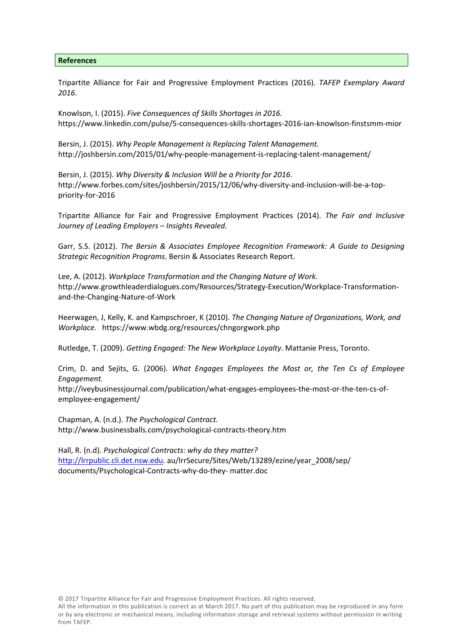#### **References**

Tripartite Alliance for Fair and Progressive Employment Practices (2016). *TAFEP Exemplary Award 2016*.

Knowlson, I. (2015). *Five Consequences of Skills Shortages in 2016.* https://www.linkedin.com/pulse/5-consequences-skills-shortages-2016-ian-knowlson-finstsmm-mior

Bersin, J. (2015). *Why People Management is Replacing Talent Management.* http://joshbersin.com/2015/01/why-people-management-is-replacing-talent-management/

Bersin, J. (2015). *Why Diversity & Inclusion Will be a Priority for 2016*.<br>http://www.forbes.com/sites/joshbersin/2015/12/06/why-diversity-and-inclusion-will-be-a-toppriority-for-2016

Tripartite Alliance for Fair and Progressive Employment Practices (2014). *The Fair and Inclusive Journey of Leading Employers – Insights Revealed.* 

Garr, S.S. (2012). *The Bersin & Associates Employee Recognition Framework: A Guide to Designing Strategic Recognition Programs*. Bersin & Associates Research Report.

Lee, A. (2012). *Workplace Transformation and the Changing Nature of Work.*  http://www.growthleaderdialogues.com/Resources/Strategy-Execution/Workplace-Transformationand-the-Changing-Nature-of-Work

Heerwagen, J, Kelly, K. and Kampschroer, K (2010). *The Changing Nature of Organizations, Work, and Workplace.* https://www.wbdg.org/resources/chngorgwork.php

Rutledge, T. (2009). *Getting Engaged: The New Workplace Loyalty*. Mattanie Press, Toronto.

Crim, D. and Sejits, G. (2006). *What Engages Employees the Most or, the Ten Cs of Employee Engagement.* 

http://iveybusinessjournal.com/publication/what-engages-employees-the-most-or-the-ten-cs-ofemployee-engagement/

Chapman, A. (n.d.). *The Psychological Contract.*  http://www.businessballs.com/psychological-contracts-theory.htm

Hall, R. (n.d). *Psychological Contracts: why do they matter?* http://lrrpublic.cli.det.nsw.edu. au/lrrSecure/Sites/Web/13289/ezine/year\_2008/sep/ documents/Psychological-Contracts-why-do-they- matter.doc

© 2017 Tripartite Alliance for Fair and Progressive Employment Practices. All rights reserved.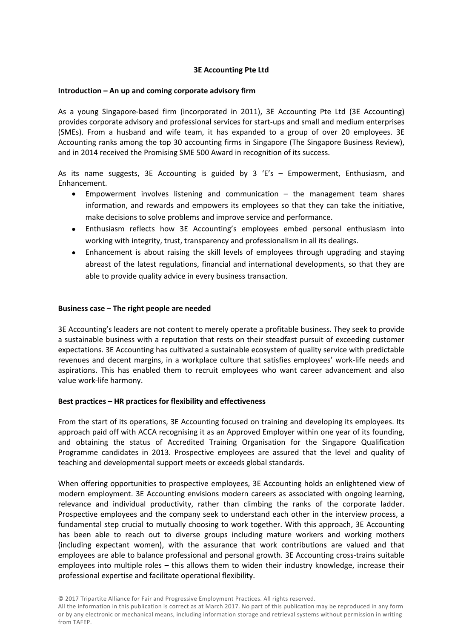# **3E Accounting Pte Ltd**

# **Introduction – An up and coming corporate advisory firm**

As a young Singapore-based firm (incorporated in 2011), 3E Accounting Pte Ltd (3E Accounting) provides corporate advisory and professional services for start-ups and small and medium enterprises (SMEs). From a husband and wife team, it has expanded to a group of over 20 employees. 3E Accounting ranks among the top 30 accounting firms in Singapore (The Singapore Business Review), and in 2014 received the Promising SME 500 Award in recognition of its success.

As its name suggests, 3E Accounting is guided by 3 'E's  $-$  Empowerment, Enthusiasm, and Enhancement.

- Empowerment involves listening and communication  $-$  the management team shares information, and rewards and empowers its employees so that they can take the initiative, make decisions to solve problems and improve service and performance.
- Enthusiasm reflects how 3E Accounting's employees embed personal enthusiasm into working with integrity, trust, transparency and professionalism in all its dealings.
- Enhancement is about raising the skill levels of employees through upgrading and staying abreast of the latest regulations, financial and international developments, so that they are able to provide quality advice in every business transaction.

# **Business case – The right people are needed**

3E Accounting's leaders are not content to merely operate a profitable business. They seek to provide a sustainable business with a reputation that rests on their steadfast pursuit of exceeding customer expectations. 3E Accounting has cultivated a sustainable ecosystem of quality service with predictable revenues and decent margins, in a workplace culture that satisfies employees' work-life needs and aspirations. This has enabled them to recruit employees who want career advancement and also value work-life harmony.

# **Best practices – HR practices for flexibility and effectiveness**

From the start of its operations, 3E Accounting focused on training and developing its employees. Its approach paid off with ACCA recognising it as an Approved Employer within one year of its founding, and obtaining the status of Accredited Training Organisation for the Singapore Qualification Programme candidates in 2013. Prospective employees are assured that the level and quality of teaching and developmental support meets or exceeds global standards.

When offering opportunities to prospective employees, 3E Accounting holds an enlightened view of modern employment. 3E Accounting envisions modern careers as associated with ongoing learning, relevance and individual productivity, rather than climbing the ranks of the corporate ladder. Prospective employees and the company seek to understand each other in the interview process, a fundamental step crucial to mutually choosing to work together. With this approach, 3E Accounting has been able to reach out to diverse groups including mature workers and working mothers (including expectant women), with the assurance that work contributions are valued and that employees are able to balance professional and personal growth. 3E Accounting cross-trains suitable employees into multiple roles – this allows them to widen their industry knowledge, increase their professional expertise and facilitate operational flexibility.

© 2017 Tripartite Alliance for Fair and Progressive Employment Practices. All rights reserved.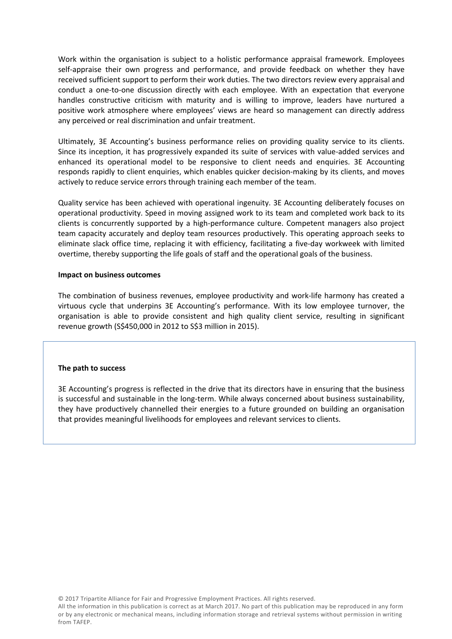Work within the organisation is subject to a holistic performance appraisal framework. Employees self-appraise their own progress and performance, and provide feedback on whether they have received sufficient support to perform their work duties. The two directors review every appraisal and conduct a one-to-one discussion directly with each employee. With an expectation that everyone handles constructive criticism with maturity and is willing to improve, leaders have nurtured a positive work atmosphere where employees' views are heard so management can directly address any perceived or real discrimination and unfair treatment.

Ultimately, 3E Accounting's business performance relies on providing quality service to its clients. Since its inception, it has progressively expanded its suite of services with value-added services and enhanced its operational model to be responsive to client needs and enquiries. 3E Accounting responds rapidly to client enquiries, which enables quicker decision-making by its clients, and moves actively to reduce service errors through training each member of the team.

Quality service has been achieved with operational ingenuity. 3E Accounting deliberately focuses on operational productivity. Speed in moving assigned work to its team and completed work back to its clients is concurrently supported by a high-performance culture. Competent managers also project team capacity accurately and deploy team resources productively. This operating approach seeks to eliminate slack office time, replacing it with efficiency, facilitating a five-day workweek with limited overtime, thereby supporting the life goals of staff and the operational goals of the business.

## **Impact on business outcomes**

The combination of business revenues, employee productivity and work-life harmony has created a virtuous cycle that underpins 3E Accounting's performance. With its low employee turnover, the organisation is able to provide consistent and high quality client service, resulting in significant revenue growth (S\$450,000 in 2012 to S\$3 million in 2015).

#### **The path to success**

3E Accounting's progress is reflected in the drive that its directors have in ensuring that the business is successful and sustainable in the long-term. While always concerned about business sustainability, they have productively channelled their energies to a future grounded on building an organisation that provides meaningful livelihoods for employees and relevant services to clients.

© 2017 Tripartite Alliance for Fair and Progressive Employment Practices. All rights reserved.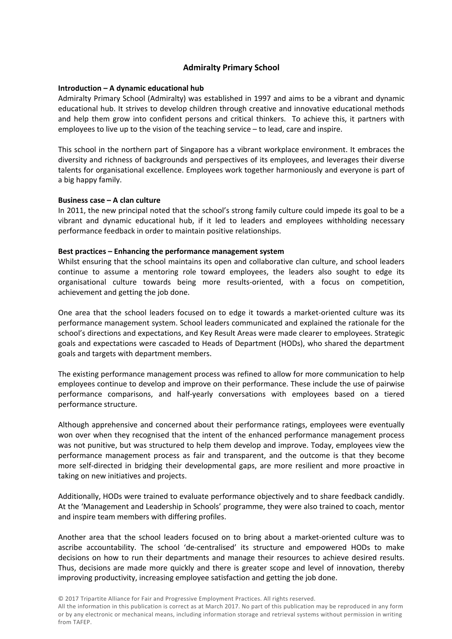# **Admiralty Primary School**

# **Introduction – A dynamic educational hub**

Admiralty Primary School (Admiralty) was established in 1997 and aims to be a vibrant and dynamic educational hub. It strives to develop children through creative and innovative educational methods and help them grow into confident persons and critical thinkers. To achieve this, it partners with employees to live up to the vision of the teaching service – to lead, care and inspire.

This school in the northern part of Singapore has a vibrant workplace environment. It embraces the diversity and richness of backgrounds and perspectives of its employees, and leverages their diverse talents for organisational excellence. Employees work together harmoniously and everyone is part of a big happy family.

## **Business case – A clan culture**

In 2011, the new principal noted that the school's strong family culture could impede its goal to be a vibrant and dynamic educational hub, if it led to leaders and employees withholding necessary performance feedback in order to maintain positive relationships.

## **Best practices – Enhancing the performance management system**

Whilst ensuring that the school maintains its open and collaborative clan culture, and school leaders continue to assume a mentoring role toward employees, the leaders also sought to edge its organisational culture towards being more results-oriented, with a focus on competition, achievement and getting the job done.

One area that the school leaders focused on to edge it towards a market-oriented culture was its performance management system. School leaders communicated and explained the rationale for the school's directions and expectations, and Key Result Areas were made clearer to employees. Strategic goals and expectations were cascaded to Heads of Department (HODs), who shared the department goals and targets with department members.

The existing performance management process was refined to allow for more communication to help employees continue to develop and improve on their performance. These include the use of pairwise performance comparisons, and half-yearly conversations with employees based on a tiered performance structure.

Although apprehensive and concerned about their performance ratings, employees were eventually won over when they recognised that the intent of the enhanced performance management process was not punitive, but was structured to help them develop and improve. Today, employees view the performance management process as fair and transparent, and the outcome is that they become more self-directed in bridging their developmental gaps, are more resilient and more proactive in taking on new initiatives and projects.

Additionally, HODs were trained to evaluate performance objectively and to share feedback candidly. At the 'Management and Leadership in Schools' programme, they were also trained to coach, mentor and inspire team members with differing profiles.

Another area that the school leaders focused on to bring about a market-oriented culture was to ascribe accountability. The school 'de-centralised' its structure and empowered HODs to make decisions on how to run their departments and manage their resources to achieve desired results. Thus, decisions are made more quickly and there is greater scope and level of innovation, thereby improving productivity, increasing employee satisfaction and getting the job done.

© 2017 Tripartite Alliance for Fair and Progressive Employment Practices. All rights reserved.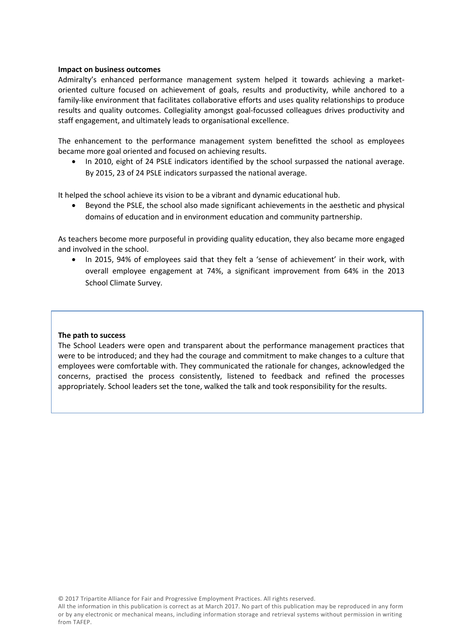# **Impact on business outcomes**

Admiralty's enhanced performance management system helped it towards achieving a marketoriented culture focused on achievement of goals, results and productivity, while anchored to a family-like environment that facilitates collaborative efforts and uses quality relationships to produce results and quality outcomes. Collegiality amongst goal-focussed colleagues drives productivity and staff engagement, and ultimately leads to organisational excellence.

The enhancement to the performance management system benefitted the school as employees became more goal oriented and focused on achieving results.

• In 2010, eight of 24 PSLE indicators identified by the school surpassed the national average. By 2015, 23 of 24 PSLE indicators surpassed the national average.

It helped the school achieve its vision to be a vibrant and dynamic educational hub.

 Beyond the PSLE, the school also made significant achievements in the aesthetic and physical domains of education and in environment education and community partnership.

As teachers become more purposeful in providing quality education, they also became more engaged and involved in the school.

 In 2015, 94% of employees said that they felt a 'sense of achievement' in their work, with overall employee engagement at 74%, a significant improvement from 64% in the 2013 School Climate Survey.

#### **The path to success**

The School Leaders were open and transparent about the performance management practices that were to be introduced; and they had the courage and commitment to make changes to a culture that employees were comfortable with. They communicated the rationale for changes, acknowledged the concerns, practised the process consistently, listened to feedback and refined the processes appropriately. School leaders set the tone, walked the talk and took responsibility for the results.

© 2017 Tripartite Alliance for Fair and Progressive Employment Practices. All rights reserved.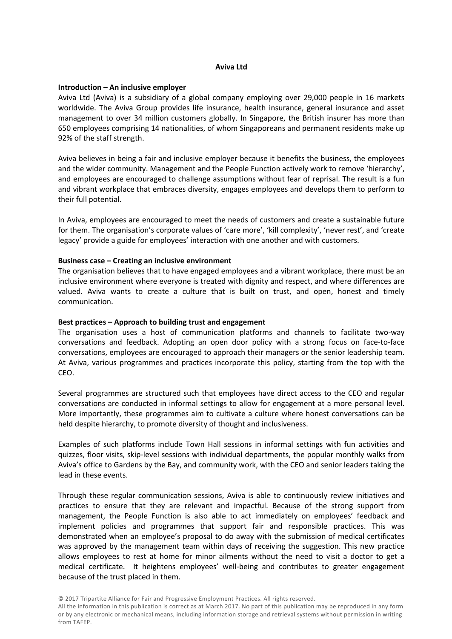#### **Aviva Ltd**

## **Introduction – An inclusive employer**

Aviva Ltd (Aviva) is a subsidiary of a global company employing over 29,000 people in 16 markets worldwide. The Aviva Group provides life insurance, health insurance, general insurance and asset management to over 34 million customers globally. In Singapore, the British insurer has more than 650 employees comprising 14 nationalities, of whom Singaporeans and permanent residents make up 92% of the staff strength.

Aviva believes in being a fair and inclusive employer because it benefits the business, the employees and the wider community. Management and the People Function actively work to remove 'hierarchy', and employees are encouraged to challenge assumptions without fear of reprisal. The result is a fun and vibrant workplace that embraces diversity, engages employees and develops them to perform to their full potential.

In Aviva, employees are encouraged to meet the needs of customers and create a sustainable future for them. The organisation's corporate values of 'care more', 'kill complexity', 'never rest', and 'create legacy' provide a guide for employees' interaction with one another and with customers.

## **Business case – Creating an inclusive environment**

The organisation believes that to have engaged employees and a vibrant workplace, there must be an inclusive environment where everyone is treated with dignity and respect, and where differences are valued. Aviva wants to create a culture that is built on trust, and open, honest and timely communication.

#### **Best practices – Approach to building trust and engagement**

The organisation uses a host of communication platforms and channels to facilitate two-way conversations and feedback. Adopting an open door policy with a strong focus on face-to-face conversations, employees are encouraged to approach their managers or the senior leadership team. At Aviva, various programmes and practices incorporate this policy, starting from the top with the CEO.

Several programmes are structured such that employees have direct access to the CEO and regular conversations are conducted in informal settings to allow for engagement at a more personal level. More importantly, these programmes aim to cultivate a culture where honest conversations can be held despite hierarchy, to promote diversity of thought and inclusiveness.

Examples of such platforms include Town Hall sessions in informal settings with fun activities and quizzes, floor visits, skip-level sessions with individual departments, the popular monthly walks from Aviva's office to Gardens by the Bay, and community work, with the CEO and senior leaders taking the lead in these events.

Through these regular communication sessions, Aviva is able to continuously review initiatives and practices to ensure that they are relevant and impactful. Because of the strong support from management, the People Function is also able to act immediately on employees' feedback and implement policies and programmes that support fair and responsible practices. This was demonstrated when an employee's proposal to do away with the submission of medical certificates was approved by the management team within days of receiving the suggestion. This new practice allows employees to rest at home for minor ailments without the need to visit a doctor to get a medical certificate. It heightens employees' well-being and contributes to greater engagement because of the trust placed in them.

© 2017 Tripartite Alliance for Fair and Progressive Employment Practices. All rights reserved.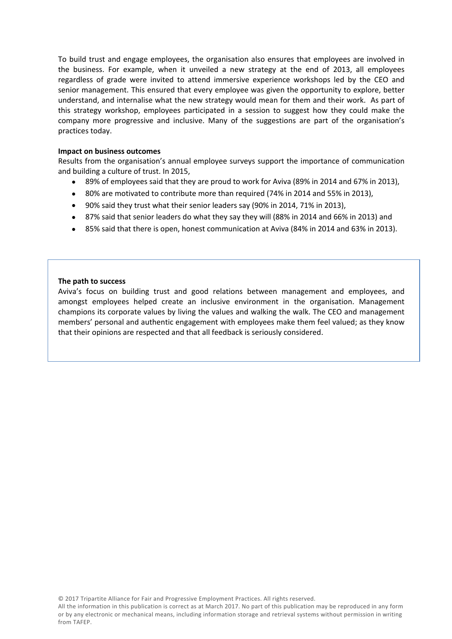To build trust and engage employees, the organisation also ensures that employees are involved in the business. For example, when it unveiled a new strategy at the end of 2013, all employees regardless of grade were invited to attend immersive experience workshops led by the CEO and senior management. This ensured that every employee was given the opportunity to explore, better understand, and internalise what the new strategy would mean for them and their work. As part of this strategy workshop, employees participated in a session to suggest how they could make the company more progressive and inclusive. Many of the suggestions are part of the organisation's practices today.

## **Impact on business outcomes**

Results from the organisation's annual employee surveys support the importance of communication and building a culture of trust. In 2015,

- 89% of employees said that they are proud to work for Aviva (89% in 2014 and 67% in 2013),
- 80% are motivated to contribute more than required (74% in 2014 and 55% in 2013),
- 90% said they trust what their senior leaders say (90% in 2014, 71% in 2013),
- 87% said that senior leaders do what they say they will (88% in 2014 and 66% in 2013) and
- 85% said that there is open, honest communication at Aviva (84% in 2014 and 63% in 2013).

## **The path to success**

Aviva's focus on building trust and good relations between management and employees, and amongst employees helped create an inclusive environment in the organisation. Management champions its corporate values by living the values and walking the walk. The CEO and management members' personal and authentic engagement with employees make them feel valued; as they know that their opinions are respected and that all feedback is seriously considered.

© 2017 Tripartite Alliance for Fair and Progressive Employment Practices. All rights reserved.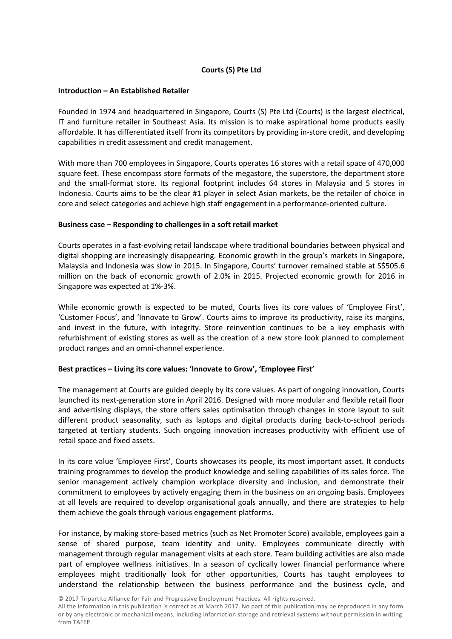# **Courts (S) Pte Ltd**

# **Introduction – An Established Retailer**

Founded in 1974 and headquartered in Singapore, Courts (S) Pte Ltd (Courts) is the largest electrical, IT and furniture retailer in Southeast Asia. Its mission is to make aspirational home products easily affordable. It has differentiated itself from its competitors by providing in-store credit, and developing capabilities in credit assessment and credit management.

With more than 700 employees in Singapore, Courts operates 16 stores with a retail space of 470,000 square feet. These encompass store formats of the megastore, the superstore, the department store and the small-format store. Its regional footprint includes 64 stores in Malaysia and 5 stores in Indonesia. Courts aims to be the clear #1 player in select Asian markets, be the retailer of choice in core and select categories and achieve high staff engagement in a performance-oriented culture.

## **Business case – Responding to challenges in a soft retail market**

Courts operates in a fast-evolving retail landscape where traditional boundaries between physical and digital shopping are increasingly disappearing. Economic growth in the group's markets in Singapore, Malaysia and Indonesia was slow in 2015. In Singapore, Courts' turnover remained stable at S\$505.6 million on the back of economic growth of 2.0% in 2015. Projected economic growth for 2016 in Singapore was expected at 1%-3%.

While economic growth is expected to be muted, Courts lives its core values of 'Employee First', 'Customer Focus', and 'Innovate to Grow'. Courts aims to improve its productivity, raise its margins, and invest in the future, with integrity. Store reinvention continues to be a key emphasis with refurbishment of existing stores as well as the creation of a new store look planned to complement product ranges and an omni-channel experience.

# **Best practices – Living its core values: 'Innovate to Grow', 'Employee First'**

The management at Courts are guided deeply by its core values. As part of ongoing innovation, Courts launched its next-generation store in April 2016. Designed with more modular and flexible retail floor and advertising displays, the store offers sales optimisation through changes in store layout to suit different product seasonality, such as laptops and digital products during back-to-school periods targeted at tertiary students. Such ongoing innovation increases productivity with efficient use of retail space and fixed assets.

In its core value 'Employee First', Courts showcases its people, its most important asset. It conducts training programmes to develop the product knowledge and selling capabilities of its sales force. The senior management actively champion workplace diversity and inclusion, and demonstrate their commitment to employees by actively engaging them in the business on an ongoing basis. Employees at all levels are required to develop organisational goals annually, and there are strategies to help them achieve the goals through various engagement platforms.

For instance, by making store-based metrics (such as Net Promoter Score) available, employees gain a sense of shared purpose, team identity and unity. Employees communicate directly with management through regular management visits at each store. Team building activities are also made part of employee wellness initiatives. In a season of cyclically lower financial performance where employees might traditionally look for other opportunities, Courts has taught employees to understand the relationship between the business performance and the business cycle, and

© 2017 Tripartite Alliance for Fair and Progressive Employment Practices. All rights reserved.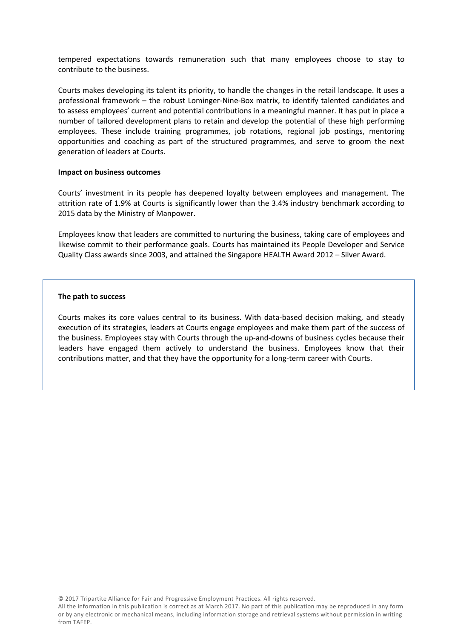tempered expectations towards remuneration such that many employees choose to stay to contribute to the business.

Courts makes developing its talent its priority, to handle the changes in the retail landscape. It uses a professional framework – the robust Lominger-Nine-Box matrix, to identify talented candidates and to assess employees' current and potential contributions in a meaningful manner. It has put in place a number of tailored development plans to retain and develop the potential of these high performing employees. These include training programmes, job rotations, regional job postings, mentoring opportunities and coaching as part of the structured programmes, and serve to groom the next generation of leaders at Courts.

#### **Impact on business outcomes**

Courts' investment in its people has deepened loyalty between employees and management. The attrition rate of 1.9% at Courts is significantly lower than the 3.4% industry benchmark according to 2015 data by the Ministry of Manpower.

Employees know that leaders are committed to nurturing the business, taking care of employees and likewise commit to their performance goals. Courts has maintained its People Developer and Service Quality Class awards since 2003, and attained the Singapore HEALTH Award 2012 – Silver Award.

## **The path to success**

Courts makes its core values central to its business. With data-based decision making, and steady execution of its strategies, leaders at Courts engage employees and make them part of the success of the business. Employees stay with Courts through the up-and-downs of business cycles because their leaders have engaged them actively to understand the business. Employees know that their contributions matter, and that they have the opportunity for a long-term career with Courts.

© 2017 Tripartite Alliance for Fair and Progressive Employment Practices. All rights reserved.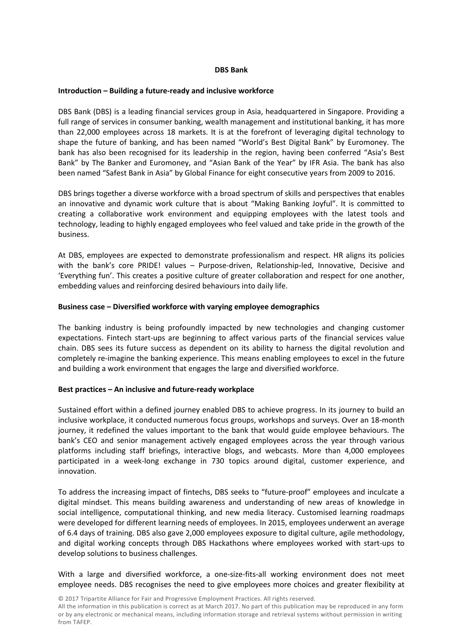## **DBS Bank**

## **Introduction – Building a future-ready and inclusive workforce**

DBS Bank (DBS) is a leading financial services group in Asia, headquartered in Singapore. Providing a full range of services in consumer banking, wealth management and institutional banking, it has more than 22,000 employees across 18 markets. It is at the forefront of leveraging digital technology to shape the future of banking, and has been named "World's Best Digital Bank" by Euromoney. The bank has also been recognised for its leadership in the region, having been conferred "Asia's Best Bank" by The Banker and Euromoney, and "Asian Bank of the Year" by IFR Asia. The bank has also been named "Safest Bank in Asia" by Global Finance for eight consecutive years from 2009 to 2016.

DBS brings together a diverse workforce with a broad spectrum of skills and perspectives that enables an innovative and dynamic work culture that is about "Making Banking Joyful". It is committed to creating a collaborative work environment and equipping employees with the latest tools and technology, leading to highly engaged employees who feel valued and take pride in the growth of the business.

At DBS, employees are expected to demonstrate professionalism and respect. HR aligns its policies with the bank's core PRIDE! values – Purpose-driven, Relationship-led, Innovative, Decisive and 'Everything fun'. This creates a positive culture of greater collaboration and respect for one another, embedding values and reinforcing desired behaviours into daily life.

# **Business case – Diversified workforce with varying employee demographics**

The banking industry is being profoundly impacted by new technologies and changing customer expectations. Fintech start-ups are beginning to affect various parts of the financial services value chain. DBS sees its future success as dependent on its ability to harness the digital revolution and completely re-imagine the banking experience. This means enabling employees to excel in the future and building a work environment that engages the large and diversified workforce.

# **Best practices – An inclusive and future-ready workplace**

Sustained effort within a defined journey enabled DBS to achieve progress. In its journey to build an inclusive workplace, it conducted numerous focus groups, workshops and surveys. Over an 18-month journey, it redefined the values important to the bank that would guide employee behaviours. The bank's CEO and senior management actively engaged employees across the year through various platforms including staff briefings, interactive blogs, and webcasts. More than 4,000 employees participated in a week-long exchange in 730 topics around digital, customer experience, and innovation.

To address the increasing impact of fintechs, DBS seeks to "future-proof" employees and inculcate a digital mindset. This means building awareness and understanding of new areas of knowledge in social intelligence, computational thinking, and new media literacy. Customised learning roadmaps were developed for different learning needs of employees. In 2015, employees underwent an average of 6.4 days of training. DBS also gave 2,000 employees exposure to digital culture, agile methodology, and digital working concepts through DBS Hackathons where employees worked with start-ups to develop solutions to business challenges.

With a large and diversified workforce, a one-size-fits-all working environment does not meet employee needs. DBS recognises the need to give employees more choices and greater flexibility at

© 2017 Tripartite Alliance for Fair and Progressive Employment Practices. All rights reserved.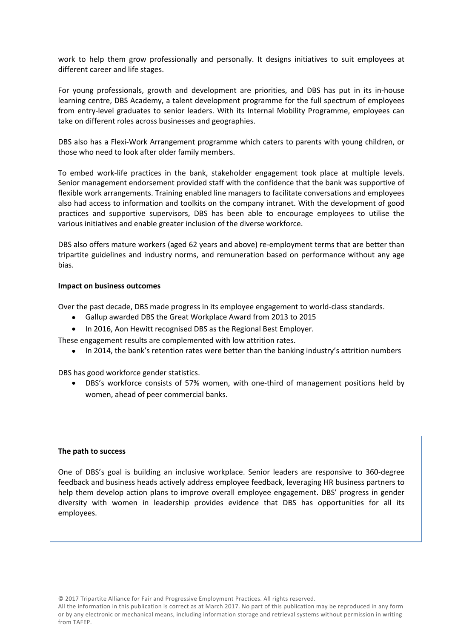work to help them grow professionally and personally. It designs initiatives to suit employees at different career and life stages.

For young professionals, growth and development are priorities, and DBS has put in its in-house learning centre, DBS Academy, a talent development programme for the full spectrum of employees from entry-level graduates to senior leaders. With its Internal Mobility Programme, employees can take on different roles across businesses and geographies.

DBS also has a Flexi-Work Arrangement programme which caters to parents with young children, or those who need to look after older family members.

To embed work-life practices in the bank, stakeholder engagement took place at multiple levels. Senior management endorsement provided staff with the confidence that the bank was supportive of flexible work arrangements. Training enabled line managers to facilitate conversations and employees also had access to information and toolkits on the company intranet. With the development of good practices and supportive supervisors, DBS has been able to encourage employees to utilise the various initiatives and enable greater inclusion of the diverse workforce.

DBS also offers mature workers (aged 62 years and above) re-employment terms that are better than tripartite guidelines and industry norms, and remuneration based on performance without any age bias.

## **Impact on business outcomes**

Over the past decade, DBS made progress in its employee engagement to world-class standards.

- Gallup awarded DBS the Great Workplace Award from 2013 to 2015
- In 2016, Aon Hewitt recognised DBS as the Regional Best Employer.

These engagement results are complemented with low attrition rates.

• In 2014, the bank's retention rates were better than the banking industry's attrition numbers

DBS has good workforce gender statistics.

 DBS's workforce consists of 57% women, with one-third of management positions held by women, ahead of peer commercial banks.

#### **The path to success**

One of DBS's goal is building an inclusive workplace. Senior leaders are responsive to 360-degree feedback and business heads actively address employee feedback, leveraging HR business partners to help them develop action plans to improve overall employee engagement. DBS' progress in gender diversity with women in leadership provides evidence that DBS has opportunities for all its employees.

© 2017 Tripartite Alliance for Fair and Progressive Employment Practices. All rights reserved.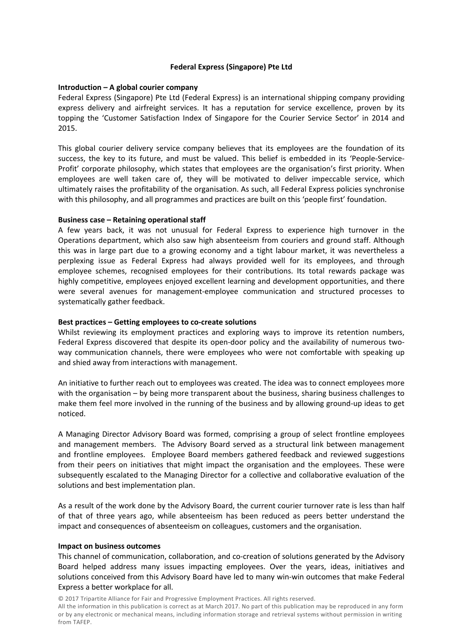# **Federal Express (Singapore) Pte Ltd**

# **Introduction – A global courier company**

Federal Express (Singapore) Pte Ltd (Federal Express) is an international shipping company providing express delivery and airfreight services. It has a reputation for service excellence, proven by its topping the 'Customer Satisfaction Index of Singapore for the Courier Service Sector' in 2014 and 2015.

 This global courier delivery service company believes that its employees are the foundation of its success, the key to its future, and must be valued. This belief is embedded in its 'People-Service-Profit' corporate philosophy, which states that employees are the organisation's first priority. When employees are well taken care of, they will be motivated to deliver impeccable service, which ultimately raises the profitability of the organisation. As such, all Federal Express policies synchronise with this philosophy, and all programmes and practices are built on this 'people first' foundation.

## **Business case – Retaining operational staff**

A few years back, it was not unusual for Federal Express to experience high turnover in the Operations department, which also saw high absenteeism from couriers and ground staff. Although this was in large part due to a growing economy and a tight labour market, it was nevertheless a perplexing issue as Federal Express had always provided well for its employees, and through employee schemes, recognised employees for their contributions. Its total rewards package was highly competitive, employees enjoyed excellent learning and development opportunities, and there were several avenues for management-employee communication and structured processes to systematically gather feedback.

# **Best practices – Getting employees to co-create solutions**

Whilst reviewing its employment practices and exploring ways to improve its retention numbers, Federal Express discovered that despite its open-door policy and the availability of numerous twoway communication channels, there were employees who were not comfortable with speaking up and shied away from interactions with management.

An initiative to further reach out to employees was created. The idea was to connect employees more with the organisation – by being more transparent about the business, sharing business challenges to make them feel more involved in the running of the business and by allowing ground-up ideas to get noticed.

A Managing Director Advisory Board was formed, comprising a group of select frontline employees and management members. The Advisory Board served as a structural link between management and frontline employees. Employee Board members gathered feedback and reviewed suggestions from their peers on initiatives that might impact the organisation and the employees. These were subsequently escalated to the Managing Director for a collective and collaborative evaluation of the solutions and best implementation plan.

As a result of the work done by the Advisory Board, the current courier turnover rate is less than half of that of three years ago, while absenteeism has been reduced as peers better understand the impact and consequences of absenteeism on colleagues, customers and the organisation.

#### **Impact on business outcomes**

This channel of communication, collaboration, and co-creation of solutions generated by the Advisory Board helped address many issues impacting employees. Over the years, ideas, initiatives and solutions conceived from this Advisory Board have led to many win-win outcomes that make Federal Express a better workplace for all.

© 2017 Tripartite Alliance for Fair and Progressive Employment Practices. All rights reserved.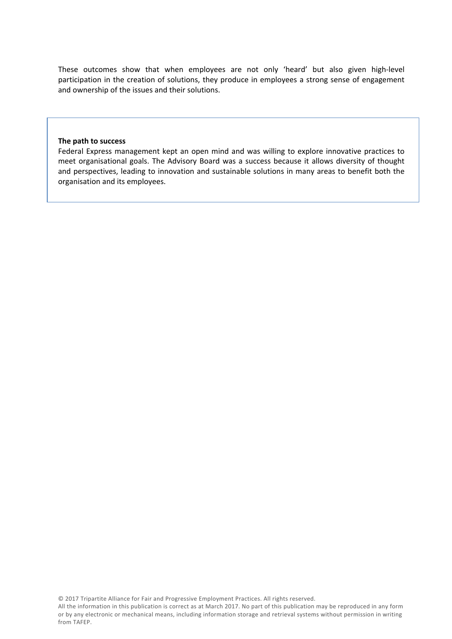These outcomes show that when employees are not only 'heard' but also given high-level participation in the creation of solutions, they produce in employees a strong sense of engagement and ownership of the issues and their solutions.

#### **The path to success**

Federal Express management kept an open mind and was willing to explore innovative practices to meet organisational goals. The Advisory Board was a success because it allows diversity of thought and perspectives, leading to innovation and sustainable solutions in many areas to benefit both the organisation and its employees.

© 2017 Tripartite Alliance for Fair and Progressive Employment Practices. All rights reserved.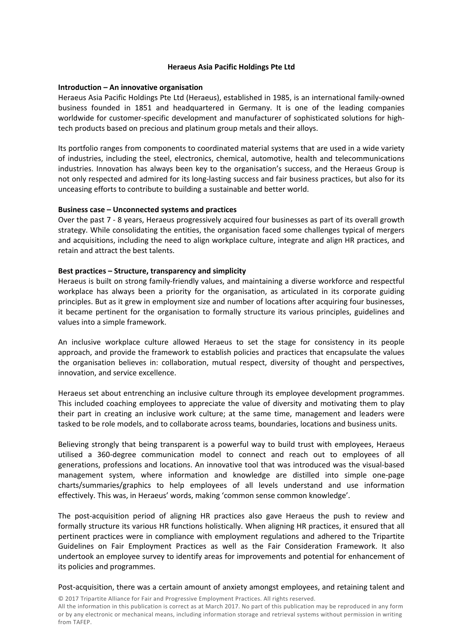# **Heraeus Asia Pacific Holdings Pte Ltd**

#### **Introduction – An innovative organisation**

Heraeus Asia Pacific Holdings Pte Ltd (Heraeus), established in 1985, is an international family-owned business founded in 1851 and headquartered in Germany. It is one of the leading companies worldwide for customer-specific development and manufacturer of sophisticated solutions for hightech products based on precious and platinum group metals and their alloys.

Its portfolio ranges from components to coordinated material systems that are used in a wide variety of industries, including the steel, electronics, chemical, automotive, health and telecommunications industries. Innovation has always been key to the organisation's success, and the Heraeus Group is not only respected and admired for its long-lasting success and fair business practices, but also for its unceasing efforts to contribute to building a sustainable and better world.

## **Business case – Unconnected systems and practices**

Over the past 7 - 8 years, Heraeus progressively acquired four businesses as part of its overall growth strategy. While consolidating the entities, the organisation faced some challenges typical of mergers and acquisitions, including the need to align workplace culture, integrate and align HR practices, and retain and attract the best talents.

## **Best practices – Structure, transparency and simplicity**

Heraeus is built on strong family-friendly values, and maintaining a diverse workforce and respectful workplace has always been a priority for the organisation, as articulated in its corporate guiding principles. But as it grew in employment size and number of locations after acquiring four businesses, it became pertinent for the organisation to formally structure its various principles, guidelines and values into a simple framework.

An inclusive workplace culture allowed Heraeus to set the stage for consistency in its people approach, and provide the framework to establish policies and practices that encapsulate the values the organisation believes in: collaboration, mutual respect, diversity of thought and perspectives, innovation, and service excellence.

Heraeus set about entrenching an inclusive culture through its employee development programmes. This included coaching employees to appreciate the value of diversity and motivating them to play their part in creating an inclusive work culture; at the same time, management and leaders were tasked to be role models, and to collaborate across teams, boundaries, locations and business units.

Believing strongly that being transparent is a powerful way to build trust with employees, Heraeus utilised a 360-degree communication model to connect and reach out to employees of all generations, professions and locations. An innovative tool that was introduced was the visual-based management system, where information and knowledge are distilled into simple one-page charts/summaries/graphics to help employees of all levels understand and use information effectively. This was, in Heraeus' words, making 'common sense common knowledge'.

The post-acquisition period of aligning HR practices also gave Heraeus the push to review and formally structure its various HR functions holistically. When aligning HR practices, it ensured that all pertinent practices were in compliance with employment regulations and adhered to the Tripartite Guidelines on Fair Employment Practices as well as the Fair Consideration Framework. It also undertook an employee survey to identify areas for improvements and potential for enhancement of its policies and programmes.

Post-acquisition, there was a certain amount of anxiety amongst employees, and retaining talent and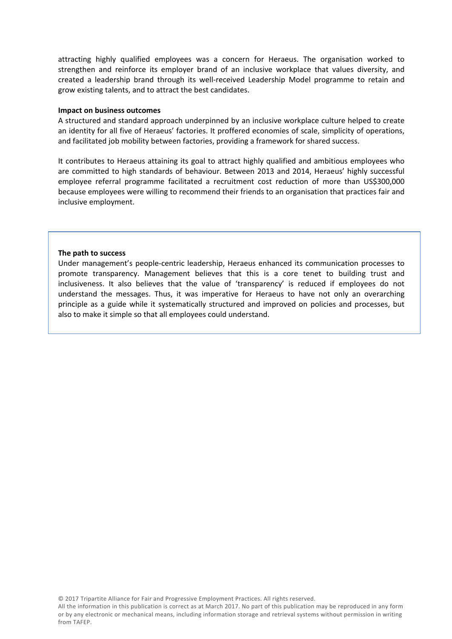attracting highly qualified employees was a concern for Heraeus. The organisation worked to strengthen and reinforce its employer brand of an inclusive workplace that values diversity, and created a leadership brand through its well-received Leadership Model programme to retain and grow existing talents, and to attract the best candidates.

#### **Impact on business outcomes**

A structured and standard approach underpinned by an inclusive workplace culture helped to create an identity for all five of Heraeus' factories. It proffered economies of scale, simplicity of operations, and facilitated job mobility between factories, providing a framework for shared success.

It contributes to Heraeus attaining its goal to attract highly qualified and ambitious employees who are committed to high standards of behaviour. Between 2013 and 2014, Heraeus' highly successful employee referral programme facilitated a recruitment cost reduction of more than US\$300,000 because employees were willing to recommend their friends to an organisation that practices fair and inclusive employment.

#### **The path to success**

Under management's people-centric leadership, Heraeus enhanced its communication processes to promote transparency. Management believes that this is a core tenet to building trust and inclusiveness. It also believes that the value of 'transparency' is reduced if employees do not understand the messages. Thus, it was imperative for Heraeus to have not only an overarching principle as a guide while it systematically structured and improved on policies and processes, but also to make it simple so that all employees could understand.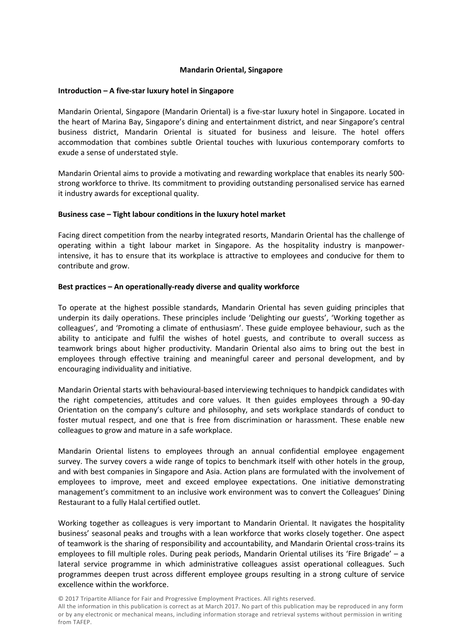# **Mandarin Oriental, Singapore**

#### **Introduction – A five-star luxury hotel in Singapore**

Mandarin Oriental, Singapore (Mandarin Oriental) is a five-star luxury hotel in Singapore. Located in the heart of Marina Bay, Singapore's dining and entertainment district, and near Singapore's central business district, Mandarin Oriental is situated for business and leisure. The hotel offers accommodation that combines subtle Oriental touches with luxurious contemporary comforts to exude a sense of understated style.

Mandarin Oriental aims to provide a motivating and rewarding workplace that enables its nearly 500 strong workforce to thrive. Its commitment to providing outstanding personalised service has earned it industry awards for exceptional quality.

## **Business case – Tight labour conditions in the luxury hotel market**

Facing direct competition from the nearby integrated resorts, Mandarin Oriental has the challenge of operating within a tight labour market in Singapore. As the hospitality industry is manpowerintensive, it has to ensure that its workplace is attractive to employees and conducive for them to contribute and grow.

## **Best practices – An operationally-ready diverse and quality workforce**

To operate at the highest possible standards, Mandarin Oriental has seven guiding principles that underpin its daily operations. These principles include 'Delighting our guests', 'Working together as colleagues', and 'Promoting a climate of enthusiasm'. These guide employee behaviour, such as the ability to anticipate and fulfil the wishes of hotel guests, and contribute to overall success as teamwork brings about higher productivity. Mandarin Oriental also aims to bring out the best in employees through effective training and meaningful career and personal development, and by encouraging individuality and initiative.

Mandarin Oriental starts with behavioural-based interviewing techniques to handpick candidates with the right competencies, attitudes and core values. It then guides employees through a 90-day Orientation on the company's culture and philosophy, and sets workplace standards of conduct to foster mutual respect, and one that is free from discrimination or harassment. These enable new colleagues to grow and mature in a safe workplace.

Mandarin Oriental listens to employees through an annual confidential employee engagement survey. The survey covers a wide range of topics to benchmark itself with other hotels in the group, and with best companies in Singapore and Asia. Action plans are formulated with the involvement of employees to improve, meet and exceed employee expectations. One initiative demonstrating management's commitment to an inclusive work environment was to convert the Colleagues' Dining Restaurant to a fully Halal certified outlet.

Working together as colleagues is very important to Mandarin Oriental. It navigates the hospitality business' seasonal peaks and troughs with a lean workforce that works closely together. One aspect of teamwork is the sharing of responsibility and accountability, and Mandarin Oriental cross-trains its employees to fill multiple roles. During peak periods, Mandarin Oriental utilises its 'Fire Brigade' – a lateral service programme in which administrative colleagues assist operational colleagues. Such programmes deepen trust across different employee groups resulting in a strong culture of service excellence within the workforce.

© 2017 Tripartite Alliance for Fair and Progressive Employment Practices. All rights reserved.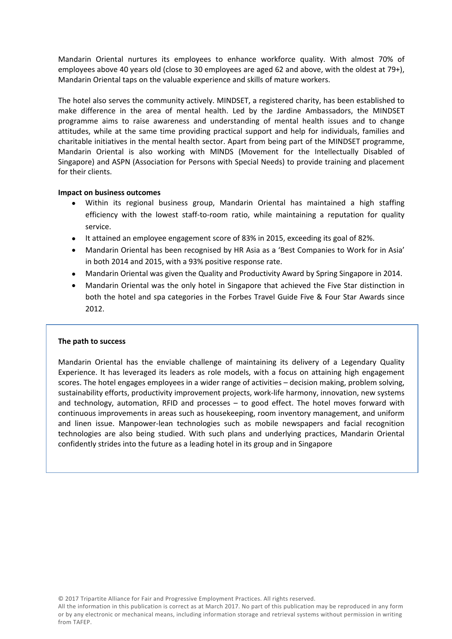Mandarin Oriental nurtures its employees to enhance workforce quality. With almost 70% of employees above 40 years old (close to 30 employees are aged 62 and above, with the oldest at 79+), Mandarin Oriental taps on the valuable experience and skills of mature workers.

The hotel also serves the community actively. MINDSET, a registered charity, has been established to make difference in the area of mental health. Led by the Jardine Ambassadors, the MINDSET programme aims to raise awareness and understanding of mental health issues and to change attitudes, while at the same time providing practical support and help for individuals, families and charitable initiatives in the mental health sector. Apart from being part of the MINDSET programme, Mandarin Oriental is also working with MINDS (Movement for the Intellectually Disabled of Singapore) and ASPN (Association for Persons with Special Needs) to provide training and placement for their clients.

# **Impact on business outcomes**

- Within its regional business group, Mandarin Oriental has maintained a high staffing efficiency with the lowest staff-to-room ratio, while maintaining a reputation for quality service.
- It attained an employee engagement score of 83% in 2015, exceeding its goal of 82%.
- Mandarin Oriental has been recognised by HR Asia as a 'Best Companies to Work for in Asia' in both 2014 and 2015, with a 93% positive response rate.
- Mandarin Oriental was given the Quality and Productivity Award by Spring Singapore in 2014.
- Mandarin Oriental was the only hotel in Singapore that achieved the Five Star distinction in both the hotel and spa categories in the Forbes Travel Guide Five & Four Star Awards since 2012.

# **The path to success**

Mandarin Oriental has the enviable challenge of maintaining its delivery of a Legendary Quality Experience. It has leveraged its leaders as role models, with a focus on attaining high engagement scores. The hotel engages employees in a wider range of activities – decision making, problem solving, sustainability efforts, productivity improvement projects, work-life harmony, innovation, new systems and technology, automation, RFID and processes – to good effect. The hotel moves forward with continuous improvements in areas such as housekeeping, room inventory management, and uniform and linen issue. Manpower-lean technologies such as mobile newspapers and facial recognition technologies are also being studied. With such plans and underlying practices, Mandarin Oriental confidently strides into the future as a leading hotel in its group and in Singapore

© 2017 Tripartite Alliance for Fair and Progressive Employment Practices. All rights reserved.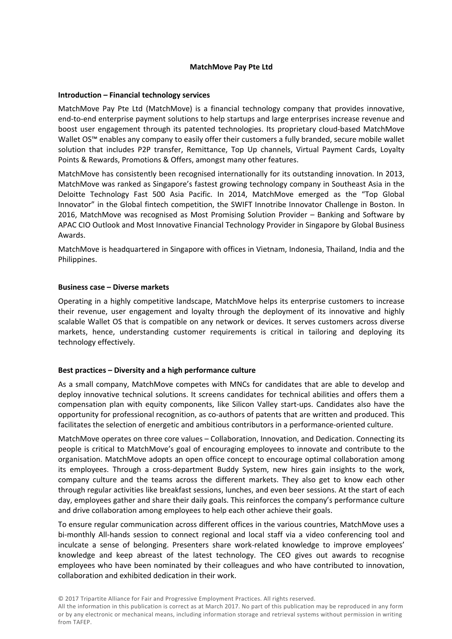# **MatchMove Pay Pte Ltd**

#### **Introduction – Financial technology services**

MatchMove Pay Pte Ltd (MatchMove) is a financial technology company that provides innovative, end-to-end enterprise payment solutions to help startups and large enterprises increase revenue and boost user engagement through its patented technologies. Its proprietary cloud-based MatchMove Wallet OS™ enables any company to easily offer their customers a fully branded, secure mobile wallet solution that includes P2P transfer, Remittance, Top Up channels, Virtual Payment Cards, Loyalty Points & Rewards, Promotions & Offers, amongst many other features.

MatchMove has consistently been recognised internationally for its outstanding innovation. In 2013, MatchMove was ranked as Singapore's fastest growing technology company in Southeast Asia in the Deloitte Technology Fast 500 Asia Pacific. In 2014, MatchMove emerged as the "Top Global Innovator" in the Global fintech competition, the SWIFT Innotribe Innovator Challenge in Boston. In 2016, MatchMove was recognised as Most Promising Solution Provider – Banking and Software by APAC CIO Outlook and Most Innovative Financial Technology Provider in Singapore by Global Business Awards.

MatchMove is headquartered in Singapore with offices in Vietnam, Indonesia, Thailand, India and the Philippines.

## **Business case – Diverse markets**

Operating in a highly competitive landscape, MatchMove helps its enterprise customers to increase their revenue, user engagement and loyalty through the deployment of its innovative and highly scalable Wallet OS that is compatible on any network or devices. It serves customers across diverse markets, hence, understanding customer requirements is critical in tailoring and deploying its technology effectively.

#### **Best practices – Diversity and a high performance culture**

As a small company, MatchMove competes with MNCs for candidates that are able to develop and deploy innovative technical solutions. It screens candidates for technical abilities and offers them a compensation plan with equity components, like Silicon Valley start-ups. Candidates also have the opportunity for professional recognition, as co-authors of patents that are written and produced. This facilitates the selection of energetic and ambitious contributors in a performance-oriented culture.

MatchMove operates on three core values – Collaboration, Innovation, and Dedication. Connecting its people is critical to MatchMove's goal of encouraging employees to innovate and contribute to the organisation. MatchMove adopts an open office concept to encourage optimal collaboration among its employees. Through a cross-department Buddy System, new hires gain insights to the work, company culture and the teams across the different markets. They also get to know each other through regular activities like breakfast sessions, lunches, and even beer sessions. At the start of each day, employees gather and share their daily goals. This reinforces the company's performance culture and drive collaboration among employees to help each other achieve their goals.

To ensure regular communication across different offices in the various countries, MatchMove uses a bi-monthly All-hands session to connect regional and local staff via a video conferencing tool and inculcate a sense of belonging. Presenters share work-related knowledge to improve employees' knowledge and keep abreast of the latest technology. The CEO gives out awards to recognise employees who have been nominated by their colleagues and who have contributed to innovation, collaboration and exhibited dedication in their work.

<sup>©</sup> 2017 Tripartite Alliance for Fair and Progressive Employment Practices. All rights reserved.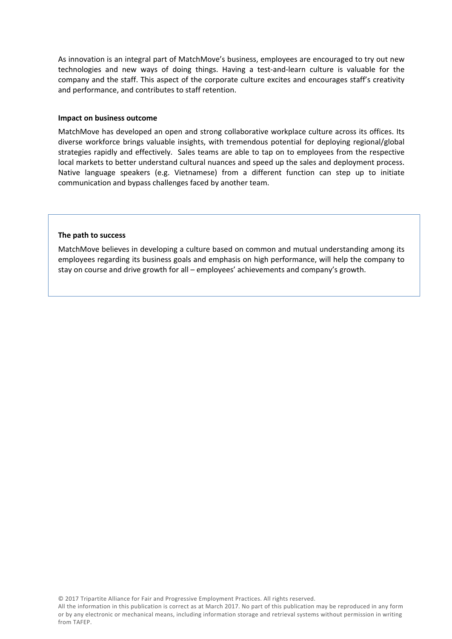As innovation is an integral part of MatchMove's business, employees are encouraged to try out new technologies and new ways of doing things. Having a test-and-learn culture is valuable for the company and the staff. This aspect of the corporate culture excites and encourages staff's creativity and performance, and contributes to staff retention.

#### **Impact on business outcome**

MatchMove has developed an open and strong collaborative workplace culture across its offices. Its diverse workforce brings valuable insights, with tremendous potential for deploying regional/global strategies rapidly and effectively. Sales teams are able to tap on to employees from the respective local markets to better understand cultural nuances and speed up the sales and deployment process. Native language speakers (e.g. Vietnamese) from a different function can step up to initiate communication and bypass challenges faced by another team.

#### **The path to success**

MatchMove believes in developing a culture based on common and mutual understanding among its employees regarding its business goals and emphasis on high performance, will help the company to stay on course and drive growth for all – employees' achievements and company's growth.

© 2017 Tripartite Alliance for Fair and Progressive Employment Practices. All rights reserved.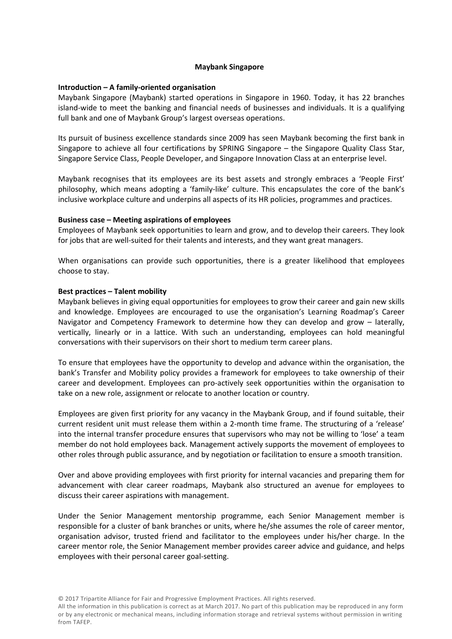# **Maybank Singapore**

## **Introduction – A family-oriented organisation**

Maybank Singapore (Maybank) started operations in Singapore in 1960. Today, it has 22 branches island-wide to meet the banking and financial needs of businesses and individuals. It is a qualifying full bank and one of Maybank Group's largest overseas operations.

Its pursuit of business excellence standards since 2009 has seen Maybank becoming the first bank in Singapore to achieve all four certifications by SPRING Singapore – the Singapore Quality Class Star, Singapore Service Class, People Developer, and Singapore Innovation Class at an enterprise level.

Maybank recognises that its employees are its best assets and strongly embraces a 'People First' philosophy, which means adopting a 'family-like' culture. This encapsulates the core of the bank's inclusive workplace culture and underpins all aspects of its HR policies, programmes and practices.

## **Business case – Meeting aspirations of employees**

Employees of Maybank seek opportunities to learn and grow, and to develop their careers. They look for jobs that are well-suited for their talents and interests, and they want great managers.

When organisations can provide such opportunities, there is a greater likelihood that employees choose to stay.

## **Best practices – Talent mobility**

Maybank believes in giving equal opportunities for employees to grow their career and gain new skills and knowledge. Employees are encouraged to use the organisation's Learning Roadmap's Career Navigator and Competency Framework to determine how they can develop and grow – laterally, vertically, linearly or in a lattice. With such an understanding, employees can hold meaningful conversations with their supervisors on their short to medium term career plans.

To ensure that employees have the opportunity to develop and advance within the organisation, the bank's Transfer and Mobility policy provides a framework for employees to take ownership of their career and development. Employees can pro-actively seek opportunities within the organisation to take on a new role, assignment or relocate to another location or country.

Employees are given first priority for any vacancy in the Maybank Group, and if found suitable, their current resident unit must release them within a 2-month time frame. The structuring of a 'release' into the internal transfer procedure ensures that supervisors who may not be willing to 'lose' a team member do not hold employees back. Management actively supports the movement of employees to other roles through public assurance, and by negotiation or facilitation to ensure a smooth transition.

Over and above providing employees with first priority for internal vacancies and preparing them for advancement with clear career roadmaps, Maybank also structured an avenue for employees to discuss their career aspirations with management.

Under the Senior Management mentorship programme, each Senior Management member is responsible for a cluster of bank branches or units, where he/she assumes the role of career mentor, organisation advisor, trusted friend and facilitator to the employees under his/her charge. In the career mentor role, the Senior Management member provides career advice and guidance, and helps employees with their personal career goal-setting.

© 2017 Tripartite Alliance for Fair and Progressive Employment Practices. All rights reserved.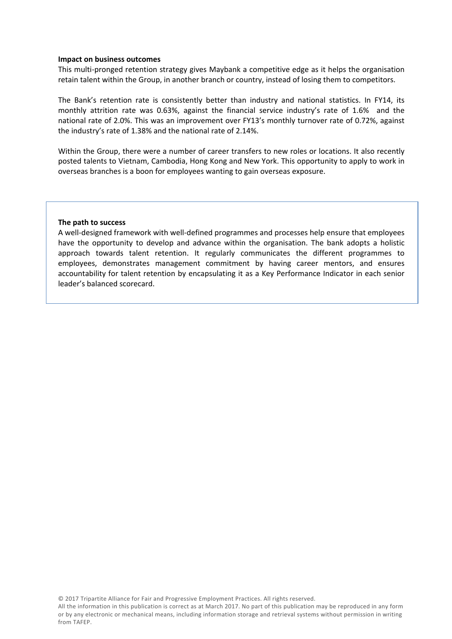#### **Impact on business outcomes**

This multi-pronged retention strategy gives Maybank a competitive edge as it helps the organisation retain talent within the Group, in another branch or country, instead of losing them to competitors.

The Bank's retention rate is consistently better than industry and national statistics. In FY14, its monthly attrition rate was 0.63%, against the financial service industry's rate of 1.6% and the national rate of 2.0%. This was an improvement over FY13's monthly turnover rate of 0.72%, against the industry's rate of 1.38% and the national rate of 2.14%.

Within the Group, there were a number of career transfers to new roles or locations. It also recently posted talents to Vietnam, Cambodia, Hong Kong and New York. This opportunity to apply to work in overseas branches is a boon for employees wanting to gain overseas exposure.

#### **The path to success**

A well-designed framework with well-defined programmes and processes help ensure that employees have the opportunity to develop and advance within the organisation. The bank adopts a holistic approach towards talent retention. It regularly communicates the different programmes to employees, demonstrates management commitment by having career mentors, and ensures accountability for talent retention by encapsulating it as a Key Performance Indicator in each senior leader's balanced scorecard.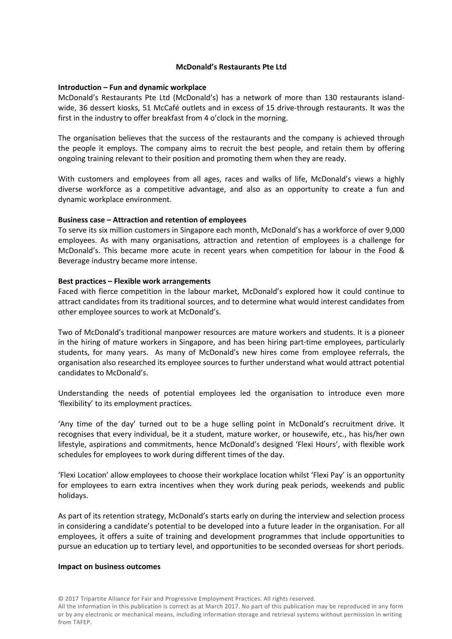# **McDonald's Restaurants Pte Ltd**

#### **Introduction – Fun and dynamic workplace**

McDonald's Restaurants Pte Ltd (McDonald's) has a network of more than 130 restaurants islandwide, 36 dessert kiosks, 51 McCafé outlets and in excess of 15 drive-through restaurants. It was the first in the industry to offer breakfast from 4 o'clock in the morning.

The organisation believes that the success of the restaurants and the company is achieved through the people it employs. The company aims to recruit the best people, and retain them by offering ongoing training relevant to their position and promoting them when they are ready.

With customers and employees from all ages, races and walks of life, McDonald's views a highly diverse workforce as a competitive advantage, and also as an opportunity to create a fun and dynamic workplace environment.

## **Business case – Attraction and retention of employees**

To serve its six million customers in Singapore each month, McDonald's has a workforce of over 9,000 employees. As with many organisations, attraction and retention of employees is a challenge for McDonald's. This became more acute in recent years when competition for labour in the Food & Beverage industry became more intense.

## **Best practices – Flexible work arrangements**

Faced with fierce competition in the labour market, McDonald's explored how it could continue to attract candidates from its traditional sources, and to determine what would interest candidates from other employee sources to work at McDonald's.

Two of McDonald's traditional manpower resources are mature workers and students. It is a pioneer in the hiring of mature workers in Singapore, and has been hiring part-time employees, particularly students, for many years. As many of McDonald's new hires come from employee referrals, the organisation also researched its employee sources to further understand what would attract potential candidates to McDonald's.

Understanding the needs of potential employees led the organisation to introduce even more 'flexibility' to its employment practices.

'Any time of the day' turned out to be a huge selling point in McDonald's recruitment drive. It recognises that every individual, be it a student, mature worker, or housewife, etc., has his/her own lifestyle, aspirations and commitments, hence McDonald's designed 'Flexi Hours', with flexible work schedules for employees to work during different times of the day.

'Flexi Location' allow employees to choose their workplace location whilst 'Flexi Pay' is an opportunity for employees to earn extra incentives when they work during peak periods, weekends and public holidays.

As part of its retention strategy, McDonald's starts early on during the interview and selection process in considering a candidate's potential to be developed into a future leader in the organisation. For all employees, it offers a suite of training and development programmes that include opportunities to pursue an education up to tertiary level, and opportunities to be seconded overseas for short periods.

#### **Impact on business outcomes**

© 2017 Tripartite Alliance for Fair and Progressive Employment Practices. All rights reserved.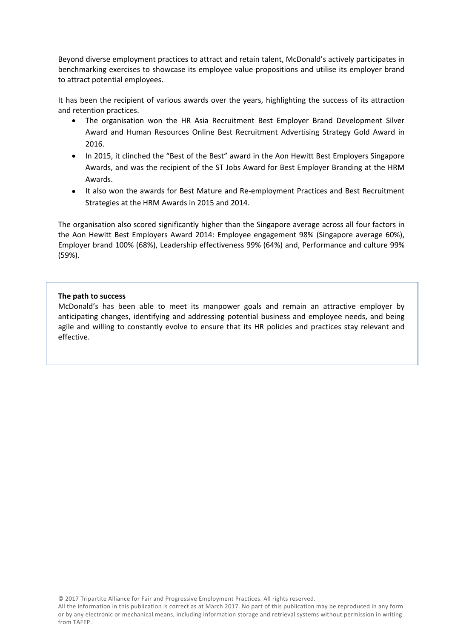Beyond diverse employment practices to attract and retain talent, McDonald's actively participates in benchmarking exercises to showcase its employee value propositions and utilise its employer brand to attract potential employees.

It has been the recipient of various awards over the years, highlighting the success of its attraction and retention practices.

- The organisation won the HR Asia Recruitment Best Employer Brand Development Silver Award and Human Resources Online Best Recruitment Advertising Strategy Gold Award in 2016.
- In 2015, it clinched the "Best of the Best" award in the Aon Hewitt Best Employers Singapore Awards, and was the recipient of the ST Jobs Award for Best Employer Branding at the HRM Awards.
- It also won the awards for Best Mature and Re-employment Practices and Best Recruitment Strategies at the HRM Awards in 2015 and 2014.

The organisation also scored significantly higher than the Singapore average across all four factors in the Aon Hewitt Best Employers Award 2014: Employee engagement 98% (Singapore average 60%), Employer brand 100% (68%), Leadership effectiveness 99% (64%) and, Performance and culture 99% (59%).

# **The path to success**

McDonald's has been able to meet its manpower goals and remain an attractive employer by anticipating changes, identifying and addressing potential business and employee needs, and being agile and willing to constantly evolve to ensure that its HR policies and practices stay relevant and effective.

© 2017 Tripartite Alliance for Fair and Progressive Employment Practices. All rights reserved.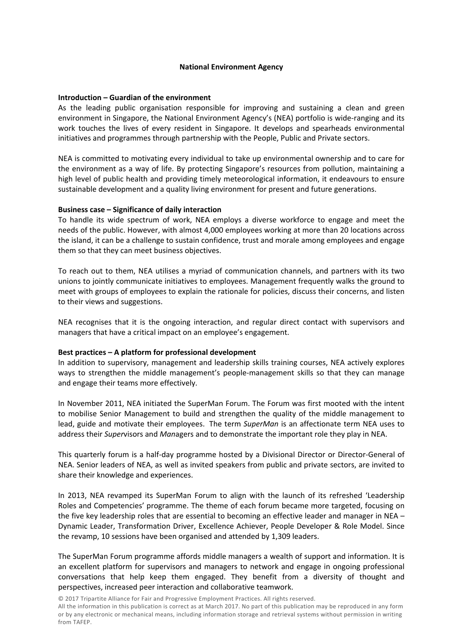# **National Environment Agency**

# **Introduction – Guardian of the environment**

As the leading public organisation responsible for improving and sustaining a clean and green environment in Singapore, the National Environment Agency's (NEA) portfolio is wide-ranging and its work touches the lives of every resident in Singapore. It develops and spearheads environmental initiatives and programmes through partnership with the People, Public and Private sectors.

NEA is committed to motivating every individual to take up environmental ownership and to care for the environment as a way of life. By protecting Singapore's resources from pollution, maintaining a high level of public health and providing timely meteorological information, it endeavours to ensure sustainable development and a quality living environment for present and future generations.

## **Business case – Significance of daily interaction**

To handle its wide spectrum of work, NEA employs a diverse workforce to engage and meet the needs of the public. However, with almost 4,000 employees working at more than 20 locations across the island, it can be a challenge to sustain confidence, trust and morale among employees and engage them so that they can meet business objectives.

To reach out to them, NEA utilises a myriad of communication channels, and partners with its two unions to jointly communicate initiatives to employees. Management frequently walks the ground to meet with groups of employees to explain the rationale for policies, discuss their concerns, and listen to their views and suggestions.

NEA recognises that it is the ongoing interaction, and regular direct contact with supervisors and managers that have a critical impact on an employee's engagement.

#### **Best practices – A platform for professional development**

In addition to supervisory, management and leadership skills training courses, NEA actively explores ways to strengthen the middle management's people-management skills so that they can manage and engage their teams more effectively.

In November 2011, NEA initiated the SuperMan Forum. The Forum was first mooted with the intent to mobilise Senior Management to build and strengthen the quality of the middle management to lead, guide and motivate their employees. The term *SuperMan* is an affectionate term NEA uses to address their *Super*visors and *Man*agers and to demonstrate the important role they play in NEA.

This quarterly forum is a half-day programme hosted by a Divisional Director or Director-General of NEA. Senior leaders of NEA, as well as invited speakers from public and private sectors, are invited to share their knowledge and experiences.

In 2013, NEA revamped its SuperMan Forum to align with the launch of its refreshed 'Leadership Roles and Competencies' programme. The theme of each forum became more targeted, focusing on the five key leadership roles that are essential to becoming an effective leader and manager in NEA – Dynamic Leader, Transformation Driver, Excellence Achiever, People Developer & Role Model. Since the revamp, 10 sessions have been organised and attended by 1,309 leaders.

The SuperMan Forum programme affords middle managers a wealth of support and information. It is an excellent platform for supervisors and managers to network and engage in ongoing professional conversations that help keep them engaged. They benefit from a diversity of thought and perspectives, increased peer interaction and collaborative teamwork.

© 2017 Tripartite Alliance for Fair and Progressive Employment Practices. All rights reserved.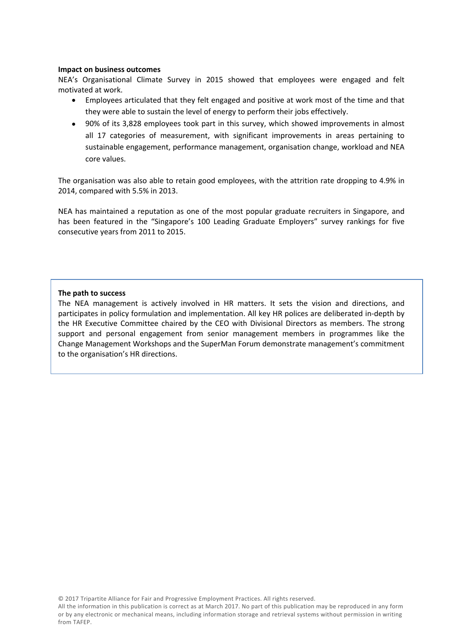#### **Impact on business outcomes**

NEA's Organisational Climate Survey in 2015 showed that employees were engaged and felt motivated at work.

- Employees articulated that they felt engaged and positive at work most of the time and that they were able to sustain the level of energy to perform their jobs effectively.
- 90% of its 3,828 employees took part in this survey, which showed improvements in almost all 17 categories of measurement, with significant improvements in areas pertaining to sustainable engagement, performance management, organisation change, workload and NEA core values.

The organisation was also able to retain good employees, with the attrition rate dropping to 4.9% in 2014, compared with 5.5% in 2013.

NEA has maintained a reputation as one of the most popular graduate recruiters in Singapore, and has been featured in the "Singapore's 100 Leading Graduate Employers" survey rankings for five consecutive years from 2011 to 2015.

# **The path to success**

The NEA management is actively involved in HR matters. It sets the vision and directions, and participates in policy formulation and implementation. All key HR polices are deliberated in-depth by the HR Executive Committee chaired by the CEO with Divisional Directors as members. The strong support and personal engagement from senior management members in programmes like the Change Management Workshops and the SuperMan Forum demonstrate management's commitment to the organisation's HR directions.

All the information in this publication is correct as atMarch 2017. No part of this publication may be reproduced in any form or by any electronic or mechanical means, including information storage and retrieval systems without permission in writing from TAFEP.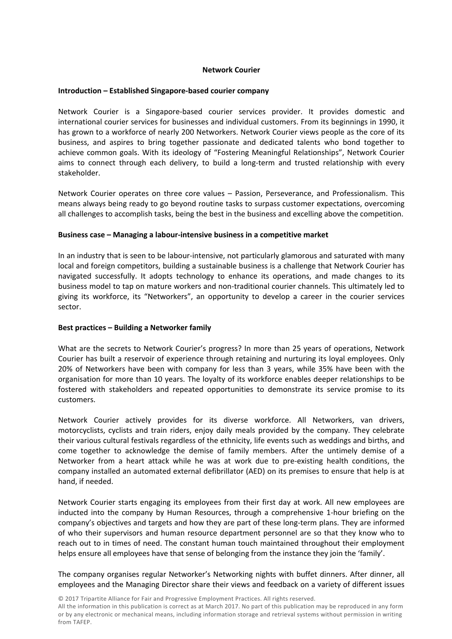# **Network Courier**

#### **Introduction – Established Singapore-based courier company**

Network Courier is a Singapore-based courier services provider. It provides domestic and international courier services for businesses and individual customers. From its beginnings in 1990, it has grown to a workforce of nearly 200 Networkers. Network Courier views people as the core of its business, and aspires to bring together passionate and dedicated talents who bond together to achieve common goals. With its ideology of "Fostering Meaningful Relationships", Network Courier aims to connect through each delivery, to build a long-term and trusted relationship with every stakeholder.

Network Courier operates on three core values – Passion, Perseverance, and Professionalism. This means always being ready to go beyond routine tasks to surpass customer expectations, overcoming all challenges to accomplish tasks, being the best in the business and excelling above the competition.

## **Business case – Managing a labour-intensive business in a competitive market**

In an industry that is seen to be labour-intensive, not particularly glamorous and saturated with many local and foreign competitors, building a sustainable business is a challenge that Network Courier has navigated successfully. It adopts technology to enhance its operations, and made changes to its business model to tap on mature workers and non-traditional courier channels. This ultimately led to giving its workforce, its "Networkers", an opportunity to develop a career in the courier services sector.

# **Best practices – Building a Networker family**

What are the secrets to Network Courier's progress? In more than 25 years of operations, Network Courier has built a reservoir of experience through retaining and nurturing its loyal employees. Only 20% of Networkers have been with company for less than 3 years, while 35% have been with the organisation for more than 10 years. The loyalty of its workforce enables deeper relationships to be fostered with stakeholders and repeated opportunities to demonstrate its service promise to its customers.

Network Courier actively provides for its diverse workforce. All Networkers, van drivers, motorcyclists, cyclists and train riders, enjoy daily meals provided by the company. They celebrate their various cultural festivals regardless of the ethnicity, life events such as weddings and births, and come together to acknowledge the demise of family members. After the untimely demise of a Networker from a heart attack while he was at work due to pre-existing health conditions, the company installed an automated external defibrillator (AED) on its premises to ensure that help is at hand, if needed.

Network Courier starts engaging its employees from their first day at work. All new employees are inducted into the company by Human Resources, through a comprehensive 1-hour briefing on the company's objectives and targets and how they are part of these long-term plans. They are informed of who their supervisors and human resource department personnel are so that they know who to reach out to in times of need. The constant human touch maintained throughout their employment helps ensure all employees have that sense of belonging from the instance they join the 'family'.

The company organises regular Networker's Networking nights with buffet dinners. After dinner, all employees and the Managing Director share their views and feedback on a variety of different issues

© 2017 Tripartite Alliance for Fair and Progressive Employment Practices. All rights reserved.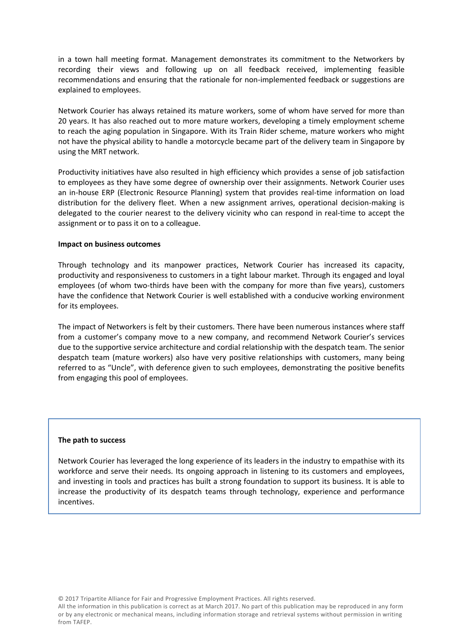in a town hall meeting format. Management demonstrates its commitment to the Networkers by recording their views and following up on all feedback received, implementing feasible recommendations and ensuring that the rationale for non-implemented feedback or suggestions are explained to employees.

Network Courier has always retained its mature workers, some of whom have served for more than 20 years. It has also reached out to more mature workers, developing a timely employment scheme to reach the aging population in Singapore. With its Train Rider scheme, mature workers who might not have the physical ability to handle a motorcycle became part of the delivery team in Singapore by using the MRT network.

Productivity initiatives have also resulted in high efficiency which provides a sense of job satisfaction to employees as they have some degree of ownership over their assignments. Network Courier uses an in-house ERP (Electronic Resource Planning) system that provides real-time information on load distribution for the delivery fleet. When a new assignment arrives, operational decision-making is delegated to the courier nearest to the delivery vicinity who can respond in real-time to accept the assignment or to pass it on to a colleague.

## **Impact on business outcomes**

Through technology and its manpower practices, Network Courier has increased its capacity, productivity and responsiveness to customers in a tight labour market. Through its engaged and loyal employees (of whom two-thirds have been with the company for more than five years), customers have the confidence that Network Courier is well established with a conducive working environment for its employees.

The impact of Networkers is felt by their customers. There have been numerous instances where staff from a customer's company move to a new company, and recommend Network Courier's services due to the supportive service architecture and cordial relationship with the despatch team. The senior despatch team (mature workers) also have very positive relationships with customers, many being referred to as "Uncle", with deference given to such employees, demonstrating the positive benefits from engaging this pool of employees.

#### **The path to success**

Network Courier has leveraged the long experience of its leaders in the industry to empathise with its workforce and serve their needs. Its ongoing approach in listening to its customers and employees, and investing in tools and practices has built a strong foundation to support its business. It is able to increase the productivity of its despatch teams through technology, experience and performance incentives.

© 2017 Tripartite Alliance for Fair and Progressive Employment Practices. All rights reserved.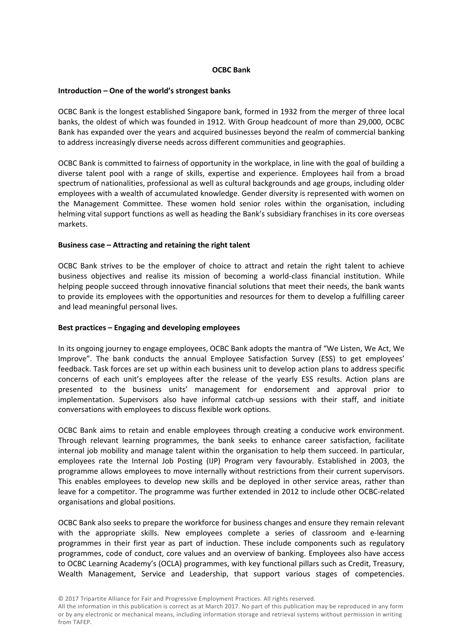# **OCBC Bank**

## **Introduction – One of the world's strongest banks**

OCBC Bank is the longest established Singapore bank, formed in 1932 from the merger of three local banks, the oldest of which was founded in 1912. With Group headcount of more than 29,000, OCBC Bank has expanded over the years and acquired businesses beyond the realm of commercial banking to address increasingly diverse needs across different communities and geographies.

OCBC Bank is committed to fairness of opportunity in the workplace, in line with the goal of building a diverse talent pool with a range of skills, expertise and experience. Employees hail from a broad spectrum of nationalities, professional as well as cultural backgrounds and age groups, including older employees with a wealth of accumulated knowledge. Gender diversity is represented with women on the Management Committee. These women hold senior roles within the organisation, including helming vital support functions as well as heading the Bank's subsidiary franchises in its core overseas markets.

## **Business case – Attracting and retaining the right talent**

OCBC Bank strives to be the employer of choice to attract and retain the right talent to achieve business objectives and realise its mission of becoming a world-class financial institution. While helping people succeed through innovative financial solutions that meet their needs, the bank wants to provide its employees with the opportunities and resources for them to develop a fulfilling career and lead meaningful personal lives.

#### **Best practices – Engaging and developing employees**

In its ongoing journey to engage employees, OCBC Bank adopts the mantra of "We Listen, We Act, We Improve". The bank conducts the annual Employee Satisfaction Survey (ESS) to get employees' feedback. Task forces are set up within each business unit to develop action plans to address specific concerns of each unit's employees after the release of the yearly ESS results. Action plans are presented to the business units' management for endorsement and approval prior to implementation. Supervisors also have informal catch-up sessions with their staff, and initiate conversations with employees to discuss flexible work options.

OCBC Bank aims to retain and enable employees through creating a conducive work environment. Through relevant learning programmes, the bank seeks to enhance career satisfaction, facilitate internal job mobility and manage talent within the organisation to help them succeed. In particular, employees rate the Internal Job Posting (IJP) Program very favourably. Established in 2003, the programme allows employees to move internally without restrictions from their current supervisors. This enables employees to develop new skills and be deployed in other service areas, rather than leave for a competitor. The programme was further extended in 2012 to include other OCBC-related organisations and global positions.

OCBC Bank also seeks to prepare the workforce for business changes and ensure they remain relevant with the appropriate skills. New employees complete a series of classroom and e-learning programmes in their first year as part of induction. These include components such as regulatory programmes, code of conduct, core values and an overview of banking. Employees also have access to OCBC Learning Academy's (OCLA) programmes, with key functional pillars such as Credit, Treasury, Wealth Management, Service and Leadership, that support various stages of competencies.

© 2017 Tripartite Alliance for Fair and Progressive Employment Practices. All rights reserved.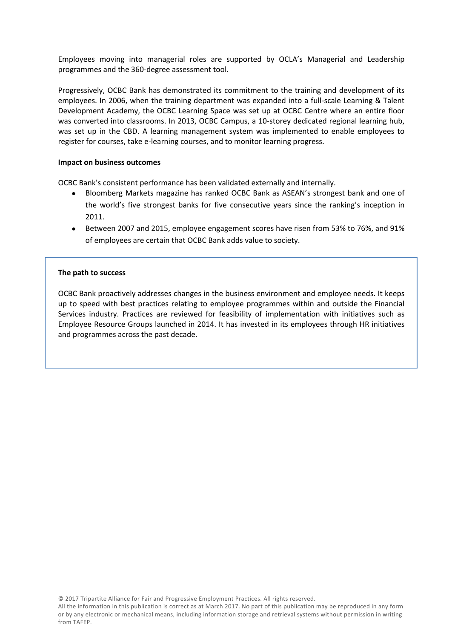Employees moving into managerial roles are supported by OCLA's Managerial and Leadership programmes and the 360-degree assessment tool.

Progressively, OCBC Bank has demonstrated its commitment to the training and development of its employees. In 2006, when the training department was expanded into a full-scale Learning & Talent Development Academy, the OCBC Learning Space was set up at OCBC Centre where an entire floor was converted into classrooms. In 2013, OCBC Campus, a 10-storey dedicated regional learning hub, was set up in the CBD. A learning management system was implemented to enable employees to register for courses, take e-learning courses, and to monitor learning progress.

## **Impact on business outcomes**

OCBC Bank's consistent performance has been validated externally and internally.

- Bloomberg Markets magazine has ranked OCBC Bank as ASEAN's strongest bank and one of the world's five strongest banks for five consecutive years since the ranking's inception in 2011.
- Between 2007 and 2015, employee engagement scores have risen from 53% to 76%, and 91% of employees are certain that OCBC Bank adds value to society.

## **The path to success**

OCBC Bank proactively addresses changes in the business environment and employee needs. It keeps up to speed with best practices relating to employee programmes within and outside the Financial Services industry. Practices are reviewed for feasibility of implementation with initiatives such as Employee Resource Groups launched in 2014. It has invested in its employees through HR initiatives and programmes across the past decade.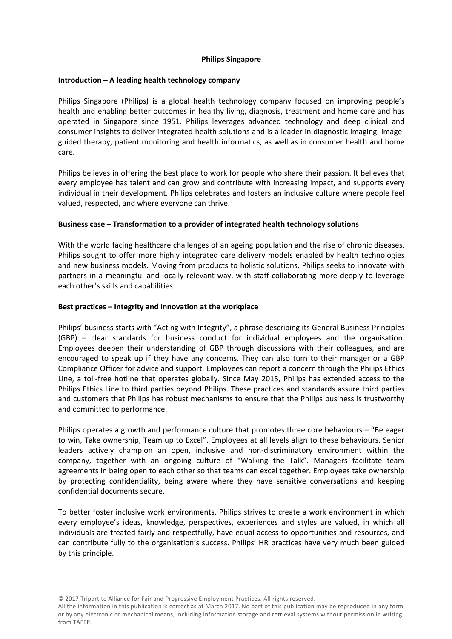# **Philips Singapore**

#### **Introduction – A leading health technology company**

Philips Singapore (Philips) is a global health technology company focused on improving people's health and enabling better outcomes in healthy living, diagnosis, treatment and home care and has operated in Singapore since 1951. Philips leverages advanced technology and deep clinical and consumer insights to deliver integrated health solutions and is a leader in diagnostic imaging, imageguided therapy, patient monitoring and health informatics, as well as in consumer health and home care.

Philips believes in offering the best place to work for people who share their passion. It believes that every employee has talent and can grow and contribute with increasing impact, and supports every individual in their development. Philips celebrates and fosters an inclusive culture where people feel valued, respected, and where everyone can thrive.

# **Business case – Transformation to a provider of integrated health technology solutions**

With the world facing healthcare challenges of an ageing population and the rise of chronic diseases, Philips sought to offer more highly integrated care delivery models enabled by health technologies and new business models. Moving from products to holistic solutions, Philips seeks to innovate with partners in a meaningful and locally relevant way, with staff collaborating more deeply to leverage each other's skills and capabilities.

## **Best practices – Integrity and innovation at the workplace**

Philips' business starts with "Acting with Integrity", a phrase describing its General Business Principles (GBP) – clear standards for business conduct for individual employees and the organisation. Employees deepen their understanding of GBP through discussions with their colleagues, and are encouraged to speak up if they have any concerns. They can also turn to their manager or a GBP Compliance Officer for advice and support. Employees can report a concern through the Philips Ethics Line, a toll-free hotline that operates globally. Since May 2015, Philips has extended access to the Philips Ethics Line to third parties beyond Philips. These practices and standards assure third parties and customers that Philips has robust mechanisms to ensure that the Philips business is trustworthy and committed to performance.

Philips operates a growth and performance culture that promotes three core behaviours – "Be eager to win, Take ownership, Team up to Excel". Employees at all levels align to these behaviours. Senior leaders actively champion an open, inclusive and non-discriminatory environment within the company, together with an ongoing culture of "Walking the Talk". Managers facilitate team agreements in being open to each other so that teams can excel together. Employees take ownership by protecting confidentiality, being aware where they have sensitive conversations and keeping confidential documents secure.

To better foster inclusive work environments, Philips strives to create a work environment in which every employee's ideas, knowledge, perspectives, experiences and styles are valued, in which all individuals are treated fairly and respectfully, have equal access to opportunities and resources, and can contribute fully to the organisation's success. Philips' HR practices have very much been guided by this principle.

© 2017 Tripartite Alliance for Fair and Progressive Employment Practices. All rights reserved.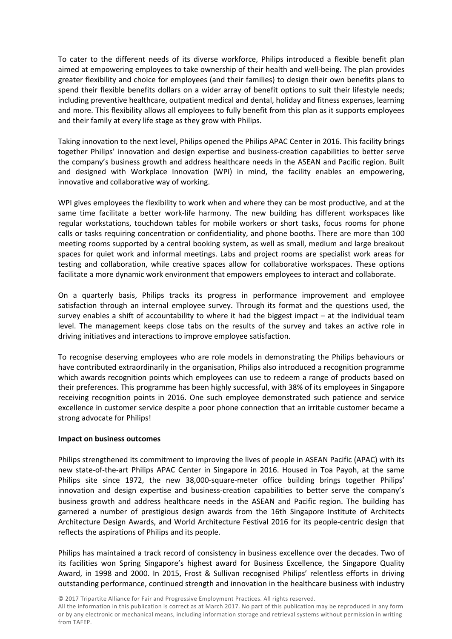To cater to the different needs of its diverse workforce, Philips introduced a flexible benefit plan aimed at empowering employees to take ownership of their health and well-being. The plan provides greater flexibility and choice for employees (and their families) to design their own benefits plans to spend their flexible benefits dollars on a wider array of benefit options to suit their lifestyle needs; including preventive healthcare, outpatient medical and dental, holiday and fitness expenses, learning and more. This flexibility allows all employees to fully benefit from this plan as it supports employees and their family at every life stage as they grow with Philips.

Taking innovation to the next level, Philips opened the Philips APAC Center in 2016. This facility brings together Philips' innovation and design expertise and business-creation capabilities to better serve the company's business growth and address healthcare needs in the ASEAN and Pacific region. Built and designed with Workplace Innovation (WPI) in mind, the facility enables an empowering, innovative and collaborative way of working.

WPI gives employees the flexibility to work when and where they can be most productive, and at the same time facilitate a better work-life harmony. The new building has different workspaces like regular workstations, touchdown tables for mobile workers or short tasks, focus rooms for phone calls or tasks requiring concentration or confidentiality, and phone booths. There are more than 100 meeting rooms supported by a central booking system, as well as small, medium and large breakout spaces for quiet work and informal meetings. Labs and project rooms are specialist work areas for testing and collaboration, while creative spaces allow for collaborative workspaces. These options facilitate a more dynamic work environment that empowers employees to interact and collaborate.

On a quarterly basis, Philips tracks its progress in performance improvement and employee satisfaction through an internal employee survey. Through its format and the questions used, the survey enables a shift of accountability to where it had the biggest impact – at the individual team level. The management keeps close tabs on the results of the survey and takes an active role in driving initiatives and interactions to improve employee satisfaction.

To recognise deserving employees who are role models in demonstrating the Philips behaviours or have contributed extraordinarily in the organisation, Philips also introduced a recognition programme which awards recognition points which employees can use to redeem a range of products based on their preferences. This programme has been highly successful, with 38% of its employees in Singapore receiving recognition points in 2016. One such employee demonstrated such patience and service excellence in customer service despite a poor phone connection that an irritable customer became a strong advocate for Philips!

# **Impact on business outcomes**

Philips strengthened its commitment to improving the lives of people in ASEAN Pacific (APAC) with its new state-of-the-art Philips APAC Center in Singapore in 2016. Housed in Toa Payoh, at the same Philips site since 1972, the new 38,000-square-meter office building brings together Philips' innovation and design expertise and business-creation capabilities to better serve the company's business growth and address healthcare needs in the ASEAN and Pacific region. The building has garnered a number of prestigious design awards from the 16th Singapore Institute of Architects Architecture Design Awards, and World Architecture Festival 2016 for its people-centric design that reflects the aspirations of Philips and its people.

Philips has maintained a track record of consistency in business excellence over the decades. Two of its facilities won Spring Singapore's highest award for Business Excellence, the Singapore Quality Award, in 1998 and 2000. In 2015, Frost & Sullivan recognised Philips' relentless efforts in driving outstanding performance, continued strength and innovation in the healthcare business with industry

© 2017 Tripartite Alliance for Fair and Progressive Employment Practices. All rights reserved.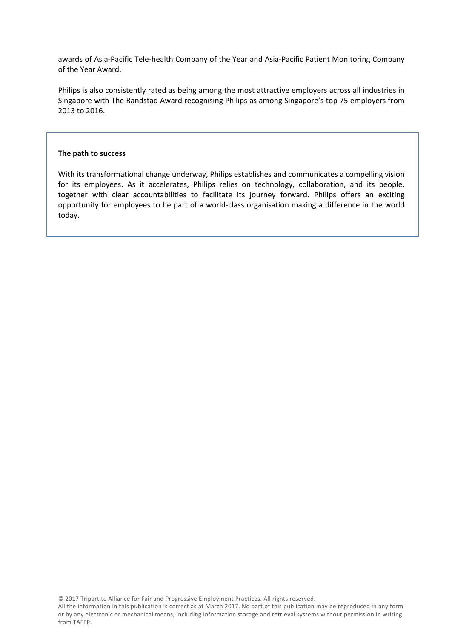awards of Asia-Pacific Tele-health Company of the Year and Asia-Pacific Patient Monitoring Company of the Year Award.

Philips is also consistently rated as being among the most attractive employers across all industries in Singapore with The Randstad Award recognising Philips as among Singapore's top 75 employers from 2013 to 2016.

#### **The path to success**

With its transformational change underway, Philips establishes and communicates a compelling vision for its employees. As it accelerates, Philips relies on technology, collaboration, and its people, together with clear accountabilities to facilitate its journey forward. Philips offers an exciting opportunity for employees to be part of a world-class organisation making a difference in the world today.

© 2017 Tripartite Alliance for Fair and Progressive Employment Practices. All rights reserved.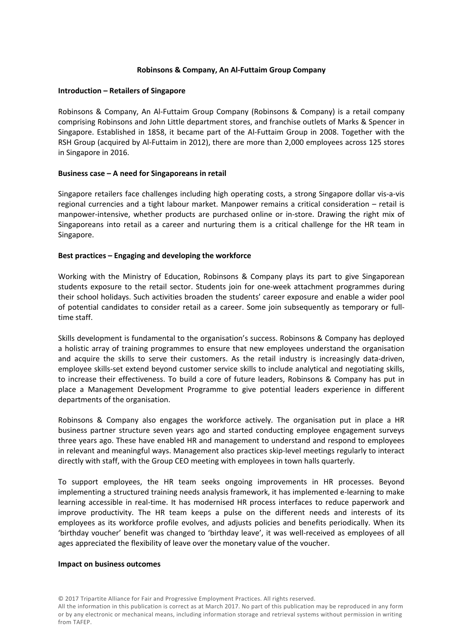# **Robinsons & Company, An Al-Futtaim Group Company**

## **Introduction – Retailers of Singapore**

Robinsons & Company, An Al-Futtaim Group Company (Robinsons & Company) is a retail company comprising Robinsons and John Little department stores, and franchise outlets of Marks & Spencer in Singapore. Established in 1858, it became part of the Al-Futtaim Group in 2008. Together with the RSH Group (acquired by Al-Futtaim in 2012), there are more than 2,000 employees across 125 stores in Singapore in 2016.

## **Business case – A need for Singaporeans in retail**

Singapore retailers face challenges including high operating costs, a strong Singapore dollar vis-a-vis regional currencies and a tight labour market. Manpower remains a critical consideration – retail is manpower-intensive, whether products are purchased online or in-store. Drawing the right mix of Singaporeans into retail as a career and nurturing them is a critical challenge for the HR team in Singapore.

## **Best practices – Engaging and developing the workforce**

Working with the Ministry of Education, Robinsons & Company plays its part to give Singaporean students exposure to the retail sector. Students join for one-week attachment programmes during their school holidays. Such activities broaden the students' career exposure and enable a wider pool of potential candidates to consider retail as a career. Some join subsequently as temporary or fulltime staff.

Skills development is fundamental to the organisation's success. Robinsons & Company has deployed a holistic array of training programmes to ensure that new employees understand the organisation and acquire the skills to serve their customers. As the retail industry is increasingly data-driven, employee skills-set extend beyond customer service skills to include analytical and negotiating skills, to increase their effectiveness. To build a core of future leaders, Robinsons & Company has put in place a Management Development Programme to give potential leaders experience in different departments of the organisation.

Robinsons & Company also engages the workforce actively. The organisation put in place a HR business partner structure seven years ago and started conducting employee engagement surveys three years ago. These have enabled HR and management to understand and respond to employees in relevant and meaningful ways. Management also practices skip-level meetings regularly to interact directly with staff, with the Group CEO meeting with employees in town halls quarterly.

To support employees, the HR team seeks ongoing improvements in HR processes. Beyond implementing a structured training needs analysis framework, it has implemented e-learning to make learning accessible in real-time. It has modernised HR process interfaces to reduce paperwork and improve productivity. The HR team keeps a pulse on the different needs and interests of its employees as its workforce profile evolves, and adjusts policies and benefits periodically. When its 'birthday voucher' benefit was changed to 'birthday leave', it was well-received as employees of all ages appreciated the flexibility of leave over the monetary value of the voucher.

#### **Impact on business outcomes**

<sup>©</sup> 2017 Tripartite Alliance for Fair and Progressive Employment Practices. All rights reserved.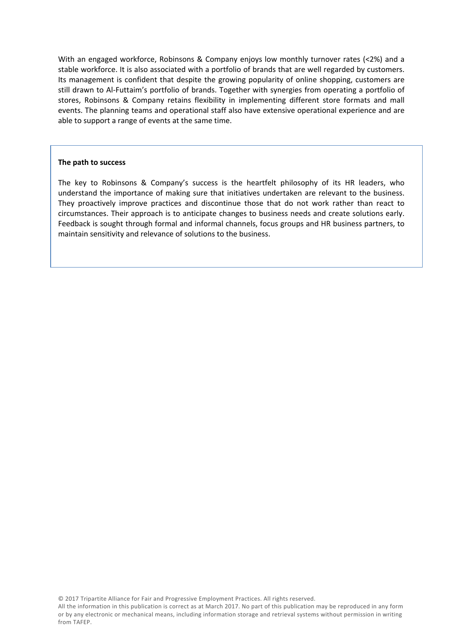With an engaged workforce, Robinsons & Company enjoys low monthly turnover rates (<2%) and a stable workforce. It is also associated with a portfolio of brands that are well regarded by customers. Its management is confident that despite the growing popularity of online shopping, customers are still drawn to Al-Futtaim's portfolio of brands. Together with synergies from operating a portfolio of stores, Robinsons & Company retains flexibility in implementing different store formats and mall events. The planning teams and operational staff also have extensive operational experience and are able to support a range of events at the same time.

## **The path to success**

The key to Robinsons & Company's success is the heartfelt philosophy of its HR leaders, who understand the importance of making sure that initiatives undertaken are relevant to the business. They proactively improve practices and discontinue those that do not work rather than react to circumstances. Their approach is to anticipate changes to business needs and create solutions early. Feedback is sought through formal and informal channels, focus groups and HR business partners, to maintain sensitivity and relevance of solutions to the business.

© 2017 Tripartite Alliance for Fair and Progressive Employment Practices. All rights reserved.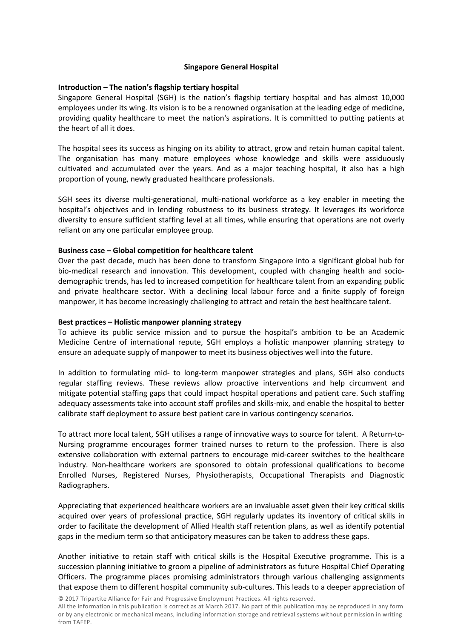# **Singapore General Hospital**

# **Introduction – The nation's flagship tertiary hospital**

Singapore General Hospital (SGH) is the nation's flagship tertiary hospital and has almost 10,000 employees under its wing. Its vision is to be a renowned organisation at the leading edge of medicine, providing quality healthcare to meet the nation's aspirations. It is committed to putting patients at the heart of all it does.

The hospital sees its success as hinging on its ability to attract, grow and retain human capital talent. The organisation has many mature employees whose knowledge and skills were assiduously cultivated and accumulated over the years. And as a major teaching hospital, it also has a high proportion of young, newly graduated healthcare professionals.

SGH sees its diverse multi-generational, multi-national workforce as a key enabler in meeting the hospital's objectives and in lending robustness to its business strategy. It leverages its workforce diversity to ensure sufficient staffing level at all times, while ensuring that operations are not overly reliant on any one particular employee group.

## **Business case – Global competition for healthcare talent**

Over the past decade, much has been done to transform Singapore into a significant global hub for bio-medical research and innovation. This development, coupled with changing health and sociodemographic trends, has led to increased competition for healthcare talent from an expanding public and private healthcare sector. With a declining local labour force and a finite supply of foreign manpower, it has become increasingly challenging to attract and retain the best healthcare talent.

#### **Best practices – Holistic manpower planning strategy**

To achieve its public service mission and to pursue the hospital's ambition to be an Academic Medicine Centre of international repute, SGH employs a holistic manpower planning strategy to ensure an adequate supply of manpower to meet its business objectives well into the future.

In addition to formulating mid- to long-term manpower strategies and plans, SGH also conducts regular staffing reviews. These reviews allow proactive interventions and help circumvent and mitigate potential staffing gaps that could impact hospital operations and patient care. Such staffing adequacy assessments take into account staff profiles and skills-mix, and enable the hospital to better calibrate staff deployment to assure best patient care in various contingency scenarios.

To attract more local talent, SGH utilises a range of innovative ways to source for talent. A Return-to-Nursing programme encourages former trained nurses to return to the profession. There is also extensive collaboration with external partners to encourage mid-career switches to the healthcare industry. Non-healthcare workers are sponsored to obtain professional qualifications to become Enrolled Nurses, Registered Nurses, Physiotherapists, Occupational Therapists and Diagnostic Radiographers.

Appreciating that experienced healthcare workers are an invaluable asset given their key critical skills acquired over years of professional practice, SGH regularly updates its inventory of critical skills in order to facilitate the development of Allied Health staff retention plans, as well as identify potential gaps in the medium term so that anticipatory measures can be taken to address these gaps.

Another initiative to retain staff with critical skills is the Hospital Executive programme. This is a succession planning initiative to groom a pipeline of administrators as future Hospital Chief Operating Officers. The programme places promising administrators through various challenging assignments that expose them to different hospital community sub-cultures. This leads to a deeper appreciation of

© 2017 Tripartite Alliance for Fair and Progressive Employment Practices. All rights reserved.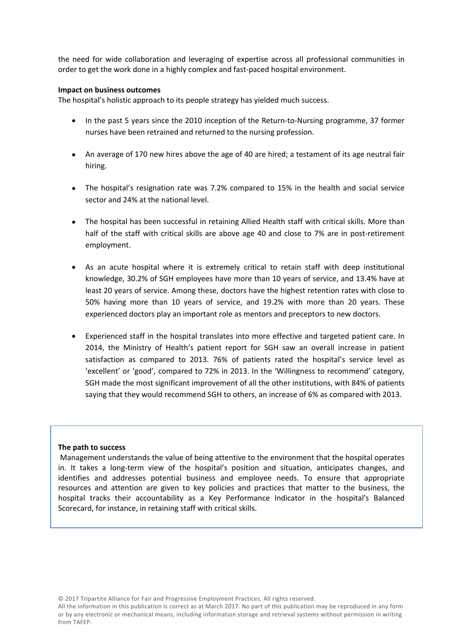the need for wide collaboration and leveraging of expertise across all professional communities in order to get the work done in a highly complex and fast-paced hospital environment.

## **Impact on business outcomes**

The hospital's holistic approach to its people strategy has yielded much success.

- In the past 5 years since the 2010 inception of the Return-to-Nursing programme, 37 former nurses have been retrained and returned to the nursing profession.
- An average of 170 new hires above the age of 40 are hired; a testament of its age neutral fair hiring.
- The hospital's resignation rate was 7.2% compared to 15% in the health and social service sector and 24% at the national level.
- The hospital has been successful in retaining Allied Health staff with critical skills. More than half of the staff with critical skills are above age 40 and close to 7% are in post-retirement employment.
- As an acute hospital where it is extremely critical to retain staff with deep institutional knowledge, 30.2% of SGH employees have more than 10 years of service, and 13.4% have at least 20 years of service. Among these, doctors have the highest retention rates with close to 50% having more than 10 years of service, and 19.2% with more than 20 years. These experienced doctors play an important role as mentors and preceptors to new doctors.
- Experienced staff in the hospital translates into more effective and targeted patient care. In 2014, the Ministry of Health's patient report for SGH saw an overall increase in patient satisfaction as compared to 2013. 76% of patients rated the hospital's service level as 'excellent' or 'good', compared to 72% in 2013. In the 'Willingness to recommend' category, SGH made the most significant improvement of all the other institutions, with 84% of patients saying that they would recommend SGH to others, an increase of 6% as compared with 2013.

#### **The path to success**

Management understands the value of being attentive to the environment that the hospital operates in. It takes a long-term view of the hospital's position and situation, anticipates changes, and identifies and addresses potential business and employee needs. To ensure that appropriate resources and attention are given to key policies and practices that matter to the business, the hospital tracks their accountability as a Key Performance Indicator in the hospital's Balanced Scorecard, for instance, in retaining staff with critical skills.

© 2017 Tripartite Alliance for Fair and Progressive Employment Practices. All rights reserved.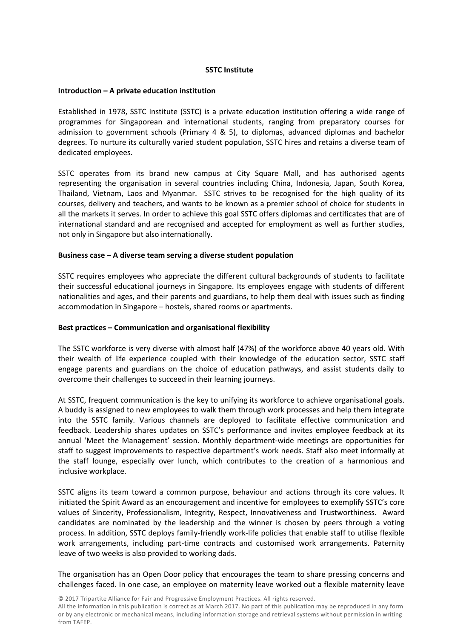# **SSTC Institute**

#### **Introduction – A private education institution**

Established in 1978, SSTC Institute (SSTC) is a private education institution offering a wide range of programmes for Singaporean and international students, ranging from preparatory courses for admission to government schools (Primary 4 & 5), to diplomas, advanced diplomas and bachelor degrees. To nurture its culturally varied student population, SSTC hires and retains a diverse team of dedicated employees.

SSTC operates from its brand new campus at City Square Mall, and has authorised agents representing the organisation in several countries including China, Indonesia, Japan, South Korea, Thailand, Vietnam, Laos and Myanmar. SSTC strives to be recognised for the high quality of its courses, delivery and teachers, and wants to be known as a premier school of choice for students in all the markets it serves. In order to achieve this goal SSTC offers diplomas and certificates that are of international standard and are recognised and accepted for employment as well as further studies, not only in Singapore but also internationally.

## **Business case – A diverse team serving a diverse student population**

SSTC requires employees who appreciate the different cultural backgrounds of students to facilitate their successful educational journeys in Singapore. Its employees engage with students of different nationalities and ages, and their parents and guardians, to help them deal with issues such as finding accommodation in Singapore – hostels, shared rooms or apartments.

# **Best practices – Communication and organisational flexibility**

The SSTC workforce is very diverse with almost half (47%) of the workforce above 40 years old. With their wealth of life experience coupled with their knowledge of the education sector, SSTC staff engage parents and guardians on the choice of education pathways, and assist students daily to overcome their challenges to succeed in their learning journeys.

At SSTC, frequent communication is the key to unifying its workforce to achieve organisational goals. A buddy is assigned to new employees to walk them through work processes and help them integrate into the SSTC family. Various channels are deployed to facilitate effective communication and feedback. Leadership shares updates on SSTC's performance and invites employee feedback at its annual 'Meet the Management' session. Monthly department-wide meetings are opportunities for staff to suggest improvements to respective department's work needs. Staff also meet informally at the staff lounge, especially over lunch, which contributes to the creation of a harmonious and inclusive workplace.

SSTC aligns its team toward a common purpose, behaviour and actions through its core values. It initiated the Spirit Award as an encouragement and incentive for employees to exemplify SSTC's core values of Sincerity, Professionalism, Integrity, Respect, Innovativeness and Trustworthiness. Award candidates are nominated by the leadership and the winner is chosen by peers through a voting process. In addition, SSTC deploys family-friendly work-life policies that enable staff to utilise flexible work arrangements, including part-time contracts and customised work arrangements. Paternity leave of two weeks is also provided to working dads.

The organisation has an Open Door policy that encourages the team to share pressing concerns and challenges faced. In one case, an employee on maternity leave worked out a flexible maternity leave

© 2017 Tripartite Alliance for Fair and Progressive Employment Practices. All rights reserved.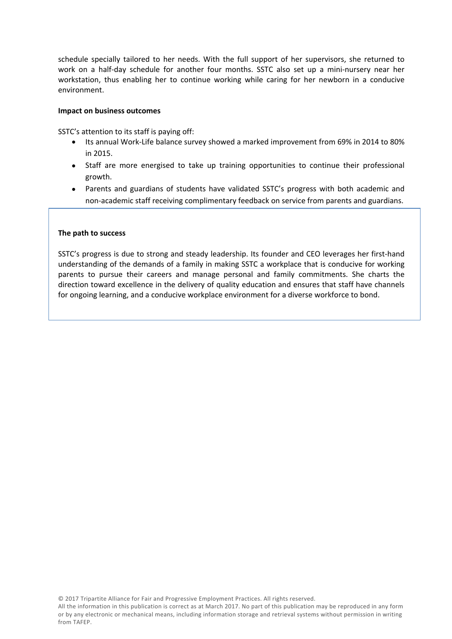schedule specially tailored to her needs. With the full support of her supervisors, she returned to work on a half-day schedule for another four months. SSTC also set up a mini-nursery near her workstation, thus enabling her to continue working while caring for her newborn in a conducive environment.

## **Impact on business outcomes**

SSTC's attention to its staff is paying off:

- Its annual Work-Life balance survey showed a marked improvement from 69% in 2014 to 80% in 2015.
- Staff are more energised to take up training opportunities to continue their professional growth.
- Parents and guardians of students have validated SSTC's progress with both academic and non-academic staff receiving complimentary feedback on service from parents and guardians.

## **The path to success**

SSTC's progress is due to strong and steady leadership. Its founder and CEO leverages her first-hand understanding of the demands of a family in making SSTC a workplace that is conducive for working parents to pursue their careers and manage personal and family commitments. She charts the direction toward excellence in the delivery of quality education and ensures that staff have channels for ongoing learning, and a conducive workplace environment for a diverse workforce to bond.

© 2017 Tripartite Alliance for Fair and Progressive Employment Practices. All rights reserved.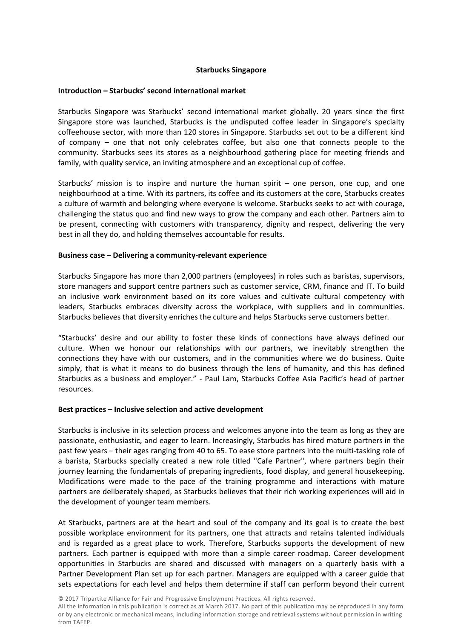# **Starbucks Singapore**

#### **Introduction – Starbucks' second international market**

Starbucks Singapore was Starbucks' second international market globally. 20 years since the first Singapore store was launched, Starbucks is the undisputed coffee leader in Singapore's specialty coffeehouse sector, with more than 120 stores in Singapore. Starbucks set out to be a different kind of company – one that not only celebrates coffee, but also one that connects people to the community. Starbucks sees its stores as a neighbourhood gathering place for meeting friends and family, with quality service, an inviting atmosphere and an exceptional cup of coffee.

Starbucks' mission is to inspire and nurture the human spirit – one person, one cup, and one neighbourhood at a time. With its partners, its coffee and its customers at the core, Starbucks creates a culture of warmth and belonging where everyone is welcome. Starbucks seeks to act with courage, challenging the status quo and find new ways to grow the company and each other. Partners aim to be present, connecting with customers with transparency, dignity and respect, delivering the very best in all they do, and holding themselves accountable for results.

## **Business case – Delivering a community-relevant experience**

Starbucks Singapore has more than 2,000 partners (employees) in roles such as baristas, supervisors, store managers and support centre partners such as customer service, CRM, finance and IT. To build an inclusive work environment based on its core values and cultivate cultural competency with leaders, Starbucks embraces diversity across the workplace, with suppliers and in communities. Starbucks believes that diversity enriches the culture and helps Starbucks serve customers better.

"Starbucks' desire and our ability to foster these kinds of connections have always defined our culture. When we honour our relationships with our partners, we inevitably strengthen the connections they have with our customers, and in the communities where we do business. Quite simply, that is what it means to do business through the lens of humanity, and this has defined Starbucks as a business and employer." - Paul Lam, Starbucks Coffee Asia Pacific's head of partner resources.

#### **Best practices – Inclusive selection and active development**

Starbucks is inclusive in its selection process and welcomes anyone into the team as long as they are passionate, enthusiastic, and eager to learn. Increasingly, Starbucks has hired mature partners in the past few years – their ages ranging from 40 to 65. To ease store partners into the multi-tasking role of a barista, Starbucks specially created a new role titled "Cafe Partner", where partners begin their journey learning the fundamentals of preparing ingredients, food display, and general housekeeping. Modifications were made to the pace of the training programme and interactions with mature partners are deliberately shaped, as Starbucks believes that their rich working experiences will aid in the development of younger team members.

At Starbucks, partners are at the heart and soul of the company and its goal is to create the best possible workplace environment for its partners, one that attracts and retains talented individuals and is regarded as a great place to work. Therefore, Starbucks supports the development of new partners. Each partner is equipped with more than a simple career roadmap. Career development opportunities in Starbucks are shared and discussed with managers on a quarterly basis with a Partner Development Plan set up for each partner. Managers are equipped with a career guide that sets expectations for each level and helps them determine if staff can perform beyond their current

© 2017 Tripartite Alliance for Fair and Progressive Employment Practices. All rights reserved.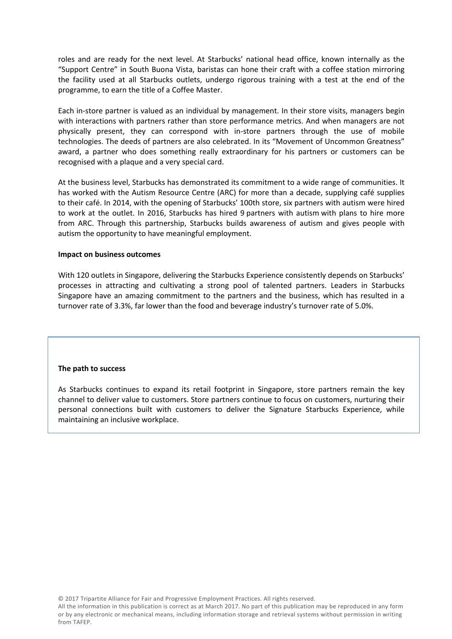roles and are ready for the next level. At Starbucks' national head office, known internally as the "Support Centre" in South Buona Vista, baristas can hone their craft with a coffee station mirroring the facility used at all Starbucks outlets, undergo rigorous training with a test at the end of the programme, to earn the title of a Coffee Master.

Each in-store partner is valued as an individual by management. In their store visits, managers begin with interactions with partners rather than store performance metrics. And when managers are not physically present, they can correspond with in-store partners through the use of mobile technologies. The deeds of partners are also celebrated. In its "Movement of Uncommon Greatness" award, a partner who does something really extraordinary for his partners or customers can be recognised with a plaque and a very special card.

At the business level, Starbucks has demonstrated its commitment to a wide range of communities. It has worked with the Autism Resource Centre (ARC) for more than a decade, supplying café supplies to their café. In 2014, with the opening of Starbucks' 100th store, six partners with autism were hired to work at the outlet. In 2016, Starbucks has hired 9 partners with autism with plans to hire more from ARC. Through this partnership, Starbucks builds awareness of autism and gives people with autism the opportunity to have meaningful employment.

## **Impact on business outcomes**

With 120 outlets in Singapore, delivering the Starbucks Experience consistently depends on Starbucks' processes in attracting and cultivating a strong pool of talented partners. Leaders in Starbucks Singapore have an amazing commitment to the partners and the business, which has resulted in a turnover rate of 3.3%, far lower than the food and beverage industry's turnover rate of 5.0%.

#### **The path to success**

As Starbucks continues to expand its retail footprint in Singapore, store partners remain the key channel to deliver value to customers. Store partners continue to focus on customers, nurturing their personal connections built with customers to deliver the Signature Starbucks Experience, while maintaining an inclusive workplace.

© 2017 Tripartite Alliance for Fair and Progressive Employment Practices. All rights reserved.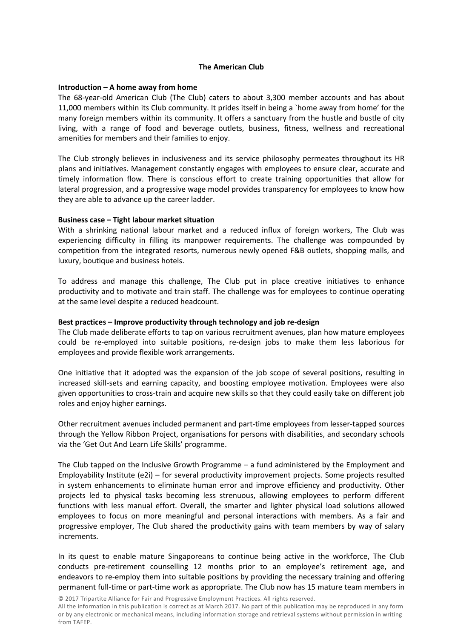# **The American Club**

# **Introduction – A home away from home**

The 68-year-old American Club (The Club) caters to about 3,300 member accounts and has about 11,000 members within its Club community. It prides itself in being a `home away from home' for the many foreign members within its community. It offers a sanctuary from the hustle and bustle of city living, with a range of food and beverage outlets, business, fitness, wellness and recreational amenities for members and their families to enjoy.

The Club strongly believes in inclusiveness and its service philosophy permeates throughout its HR plans and initiatives. Management constantly engages with employees to ensure clear, accurate and timely information flow. There is conscious effort to create training opportunities that allow for lateral progression, and a progressive wage model provides transparency for employees to know how they are able to advance up the career ladder.

## **Business case – Tight labour market situation**

With a shrinking national labour market and a reduced influx of foreign workers, The Club was experiencing difficulty in filling its manpower requirements. The challenge was compounded by competition from the integrated resorts, numerous newly opened F&B outlets, shopping malls, and luxury, boutique and business hotels.

To address and manage this challenge, The Club put in place creative initiatives to enhance productivity and to motivate and train staff. The challenge was for employees to continue operating at the same level despite a reduced headcount.

# **Best practices – Improve productivity through technology and job re-design**

The Club made deliberate efforts to tap on various recruitment avenues, plan how mature employees could be re-employed into suitable positions, re-design jobs to make them less laborious for employees and provide flexible work arrangements.

One initiative that it adopted was the expansion of the job scope of several positions, resulting in increased skill-sets and earning capacity, and boosting employee motivation. Employees were also given opportunities to cross-train and acquire new skills so that they could easily take on different job roles and enjoy higher earnings.

Other recruitment avenues included permanent and part-time employees from lesser-tapped sources through the Yellow Ribbon Project, organisations for persons with disabilities, and secondary schools via the 'Get Out And Learn Life Skills' programme.

The Club tapped on the Inclusive Growth Programme – a fund administered by the Employment and Employability Institute (e2i) – for several productivity improvement projects. Some projects resulted in system enhancements to eliminate human error and improve efficiency and productivity. Other projects led to physical tasks becoming less strenuous, allowing employees to perform different functions with less manual effort. Overall, the smarter and lighter physical load solutions allowed employees to focus on more meaningful and personal interactions with members. As a fair and progressive employer, The Club shared the productivity gains with team members by way of salary increments.

In its quest to enable mature Singaporeans to continue being active in the workforce, The Club conducts pre-retirement counselling 12 months prior to an employee's retirement age, and endeavors to re-employ them into suitable positions by providing the necessary training and offering permanent full-time or part-time work as appropriate. The Club now has 15 mature team members in

© 2017 Tripartite Alliance for Fair and Progressive Employment Practices. All rights reserved.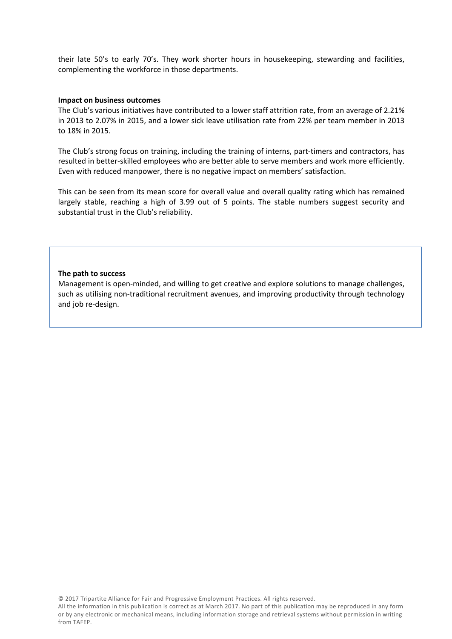their late 50's to early 70's. They work shorter hours in housekeeping, stewarding and facilities, complementing the workforce in those departments.

#### **Impact on business outcomes**

The Club's various initiatives have contributed to a lower staff attrition rate, from an average of 2.21% in 2013 to 2.07% in 2015, and a lower sick leave utilisation rate from 22% per team member in 2013 to 18% in 2015.

The Club's strong focus on training, including the training of interns, part-timers and contractors, has resulted in better-skilled employees who are better able to serve members and work more efficiently. Even with reduced manpower, there is no negative impact on members' satisfaction.

This can be seen from its mean score for overall value and overall quality rating which has remained largely stable, reaching a high of 3.99 out of 5 points. The stable numbers suggest security and substantial trust in the Club's reliability.

## **The path to success**

Management is open-minded, and willing to get creative and explore solutions to manage challenges, such as utilising non-traditional recruitment avenues, and improving productivity through technology and job re-design.